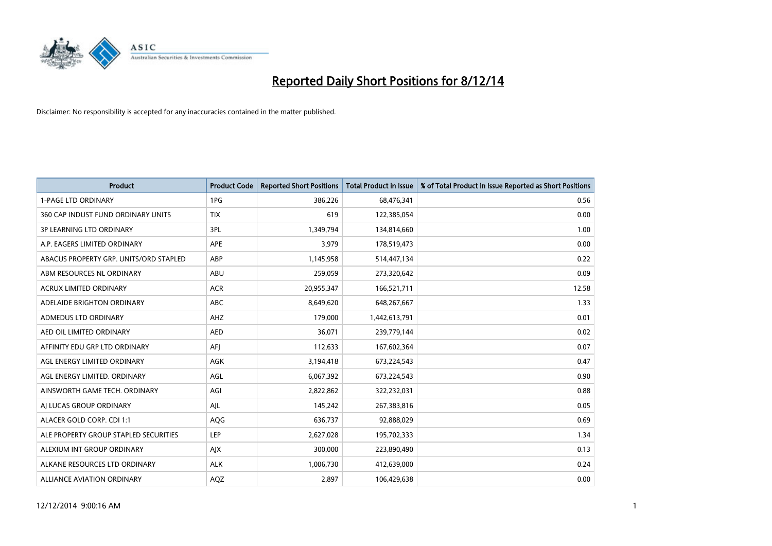

| <b>Product</b>                         | <b>Product Code</b> | <b>Reported Short Positions</b> | <b>Total Product in Issue</b> | % of Total Product in Issue Reported as Short Positions |
|----------------------------------------|---------------------|---------------------------------|-------------------------------|---------------------------------------------------------|
| <b>1-PAGE LTD ORDINARY</b>             | 1PG                 | 386,226                         | 68,476,341                    | 0.56                                                    |
| 360 CAP INDUST FUND ORDINARY UNITS     | <b>TIX</b>          | 619                             | 122,385,054                   | 0.00                                                    |
| <b>3P LEARNING LTD ORDINARY</b>        | 3PL                 | 1,349,794                       | 134,814,660                   | 1.00                                                    |
| A.P. EAGERS LIMITED ORDINARY           | <b>APE</b>          | 3,979                           | 178,519,473                   | 0.00                                                    |
| ABACUS PROPERTY GRP. UNITS/ORD STAPLED | ABP                 | 1,145,958                       | 514,447,134                   | 0.22                                                    |
| ABM RESOURCES NL ORDINARY              | ABU                 | 259,059                         | 273,320,642                   | 0.09                                                    |
| ACRUX LIMITED ORDINARY                 | <b>ACR</b>          | 20,955,347                      | 166,521,711                   | 12.58                                                   |
| ADELAIDE BRIGHTON ORDINARY             | ABC                 | 8,649,620                       | 648,267,667                   | 1.33                                                    |
| ADMEDUS LTD ORDINARY                   | AHZ                 | 179,000                         | 1,442,613,791                 | 0.01                                                    |
| AED OIL LIMITED ORDINARY               | <b>AED</b>          | 36,071                          | 239,779,144                   | 0.02                                                    |
| AFFINITY EDU GRP LTD ORDINARY          | AFJ                 | 112,633                         | 167,602,364                   | 0.07                                                    |
| AGL ENERGY LIMITED ORDINARY            | AGK                 | 3,194,418                       | 673,224,543                   | 0.47                                                    |
| AGL ENERGY LIMITED. ORDINARY           | AGL                 | 6,067,392                       | 673,224,543                   | 0.90                                                    |
| AINSWORTH GAME TECH. ORDINARY          | AGI                 | 2,822,862                       | 322,232,031                   | 0.88                                                    |
| AJ LUCAS GROUP ORDINARY                | AJL                 | 145,242                         | 267,383,816                   | 0.05                                                    |
| ALACER GOLD CORP. CDI 1:1              | AQG                 | 636,737                         | 92,888,029                    | 0.69                                                    |
| ALE PROPERTY GROUP STAPLED SECURITIES  | LEP                 | 2,627,028                       | 195,702,333                   | 1.34                                                    |
| ALEXIUM INT GROUP ORDINARY             | AJX                 | 300,000                         | 223,890,490                   | 0.13                                                    |
| ALKANE RESOURCES LTD ORDINARY          | <b>ALK</b>          | 1,006,730                       | 412,639,000                   | 0.24                                                    |
| ALLIANCE AVIATION ORDINARY             | AQZ                 | 2,897                           | 106,429,638                   | 0.00                                                    |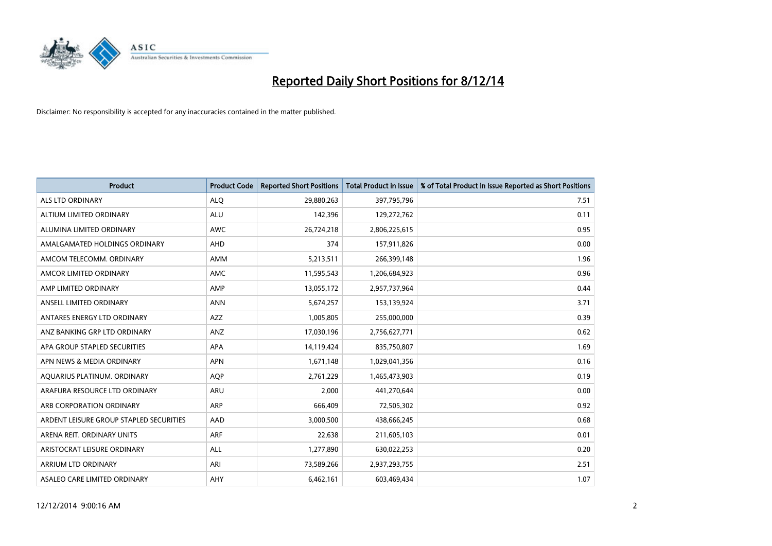

| <b>Product</b>                          | <b>Product Code</b> | <b>Reported Short Positions</b> | <b>Total Product in Issue</b> | % of Total Product in Issue Reported as Short Positions |
|-----------------------------------------|---------------------|---------------------------------|-------------------------------|---------------------------------------------------------|
| <b>ALS LTD ORDINARY</b>                 | <b>ALQ</b>          | 29,880,263                      | 397,795,796                   | 7.51                                                    |
| ALTIUM LIMITED ORDINARY                 | <b>ALU</b>          | 142,396                         | 129,272,762                   | 0.11                                                    |
| ALUMINA LIMITED ORDINARY                | <b>AWC</b>          | 26,724,218                      | 2,806,225,615                 | 0.95                                                    |
| AMALGAMATED HOLDINGS ORDINARY           | AHD                 | 374                             | 157,911,826                   | 0.00                                                    |
| AMCOM TELECOMM, ORDINARY                | <b>AMM</b>          | 5,213,511                       | 266,399,148                   | 1.96                                                    |
| AMCOR LIMITED ORDINARY                  | <b>AMC</b>          | 11,595,543                      | 1,206,684,923                 | 0.96                                                    |
| AMP LIMITED ORDINARY                    | AMP                 | 13,055,172                      | 2,957,737,964                 | 0.44                                                    |
| ANSELL LIMITED ORDINARY                 | <b>ANN</b>          | 5,674,257                       | 153,139,924                   | 3.71                                                    |
| ANTARES ENERGY LTD ORDINARY             | <b>AZZ</b>          | 1,005,805                       | 255,000,000                   | 0.39                                                    |
| ANZ BANKING GRP LTD ORDINARY            | ANZ                 | 17,030,196                      | 2,756,627,771                 | 0.62                                                    |
| APA GROUP STAPLED SECURITIES            | <b>APA</b>          | 14,119,424                      | 835,750,807                   | 1.69                                                    |
| APN NEWS & MEDIA ORDINARY               | <b>APN</b>          | 1,671,148                       | 1,029,041,356                 | 0.16                                                    |
| AQUARIUS PLATINUM. ORDINARY             | <b>AOP</b>          | 2,761,229                       | 1,465,473,903                 | 0.19                                                    |
| ARAFURA RESOURCE LTD ORDINARY           | ARU                 | 2,000                           | 441,270,644                   | 0.00                                                    |
| ARB CORPORATION ORDINARY                | <b>ARP</b>          | 666,409                         | 72,505,302                    | 0.92                                                    |
| ARDENT LEISURE GROUP STAPLED SECURITIES | AAD                 | 3,000,500                       | 438,666,245                   | 0.68                                                    |
| ARENA REIT. ORDINARY UNITS              | ARF                 | 22,638                          | 211,605,103                   | 0.01                                                    |
| ARISTOCRAT LEISURE ORDINARY             | <b>ALL</b>          | 1,277,890                       | 630,022,253                   | 0.20                                                    |
| ARRIUM LTD ORDINARY                     | ARI                 | 73,589,266                      | 2,937,293,755                 | 2.51                                                    |
| ASALEO CARE LIMITED ORDINARY            | AHY                 | 6,462,161                       | 603,469,434                   | 1.07                                                    |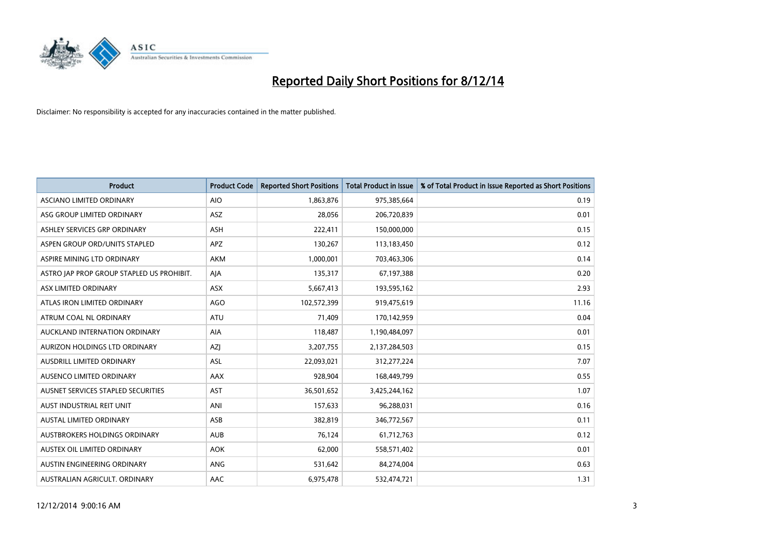

| <b>Product</b>                            | <b>Product Code</b> | <b>Reported Short Positions</b> | <b>Total Product in Issue</b> | % of Total Product in Issue Reported as Short Positions |
|-------------------------------------------|---------------------|---------------------------------|-------------------------------|---------------------------------------------------------|
| ASCIANO LIMITED ORDINARY                  | <b>AIO</b>          | 1,863,876                       | 975,385,664                   | 0.19                                                    |
| ASG GROUP LIMITED ORDINARY                | ASZ                 | 28,056                          | 206,720,839                   | 0.01                                                    |
| ASHLEY SERVICES GRP ORDINARY              | ASH                 | 222,411                         | 150,000,000                   | 0.15                                                    |
| ASPEN GROUP ORD/UNITS STAPLED             | <b>APZ</b>          | 130,267                         | 113,183,450                   | 0.12                                                    |
| ASPIRE MINING LTD ORDINARY                | <b>AKM</b>          | 1,000,001                       | 703,463,306                   | 0.14                                                    |
| ASTRO JAP PROP GROUP STAPLED US PROHIBIT. | AJA                 | 135,317                         | 67,197,388                    | 0.20                                                    |
| ASX LIMITED ORDINARY                      | ASX                 | 5,667,413                       | 193,595,162                   | 2.93                                                    |
| ATLAS IRON LIMITED ORDINARY               | <b>AGO</b>          | 102,572,399                     | 919,475,619                   | 11.16                                                   |
| ATRUM COAL NL ORDINARY                    | <b>ATU</b>          | 71,409                          | 170,142,959                   | 0.04                                                    |
| AUCKLAND INTERNATION ORDINARY             | <b>AIA</b>          | 118,487                         | 1,190,484,097                 | 0.01                                                    |
| AURIZON HOLDINGS LTD ORDINARY             | AZJ                 | 3,207,755                       | 2,137,284,503                 | 0.15                                                    |
| AUSDRILL LIMITED ORDINARY                 | ASL                 | 22,093,021                      | 312,277,224                   | 7.07                                                    |
| AUSENCO LIMITED ORDINARY                  | AAX                 | 928,904                         | 168,449,799                   | 0.55                                                    |
| AUSNET SERVICES STAPLED SECURITIES        | <b>AST</b>          | 36,501,652                      | 3,425,244,162                 | 1.07                                                    |
| AUST INDUSTRIAL REIT UNIT                 | ANI                 | 157,633                         | 96,288,031                    | 0.16                                                    |
| AUSTAL LIMITED ORDINARY                   | ASB                 | 382,819                         | 346,772,567                   | 0.11                                                    |
| AUSTBROKERS HOLDINGS ORDINARY             | <b>AUB</b>          | 76,124                          | 61,712,763                    | 0.12                                                    |
| AUSTEX OIL LIMITED ORDINARY               | <b>AOK</b>          | 62,000                          | 558,571,402                   | 0.01                                                    |
| AUSTIN ENGINEERING ORDINARY               | ANG                 | 531,642                         | 84,274,004                    | 0.63                                                    |
| AUSTRALIAN AGRICULT. ORDINARY             | AAC                 | 6,975,478                       | 532,474,721                   | 1.31                                                    |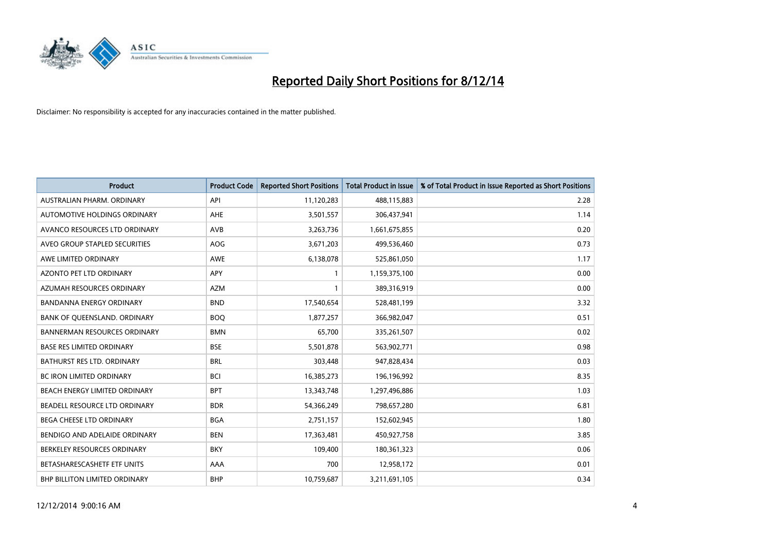

| <b>Product</b>                      | <b>Product Code</b> | <b>Reported Short Positions</b> | <b>Total Product in Issue</b> | % of Total Product in Issue Reported as Short Positions |
|-------------------------------------|---------------------|---------------------------------|-------------------------------|---------------------------------------------------------|
| AUSTRALIAN PHARM, ORDINARY          | API                 | 11,120,283                      | 488,115,883                   | 2.28                                                    |
| AUTOMOTIVE HOLDINGS ORDINARY        | AHE                 | 3,501,557                       | 306,437,941                   | 1.14                                                    |
| AVANCO RESOURCES LTD ORDINARY       | AVB                 | 3,263,736                       | 1,661,675,855                 | 0.20                                                    |
| AVEO GROUP STAPLED SECURITIES       | AOG                 | 3,671,203                       | 499,536,460                   | 0.73                                                    |
| AWE LIMITED ORDINARY                | <b>AWE</b>          | 6,138,078                       | 525,861,050                   | 1.17                                                    |
| <b>AZONTO PET LTD ORDINARY</b>      | <b>APY</b>          | $\mathbf{1}$                    | 1,159,375,100                 | 0.00                                                    |
| AZUMAH RESOURCES ORDINARY           | <b>AZM</b>          | $\mathbf{1}$                    | 389,316,919                   | 0.00                                                    |
| BANDANNA ENERGY ORDINARY            | <b>BND</b>          | 17,540,654                      | 528,481,199                   | 3.32                                                    |
| BANK OF QUEENSLAND. ORDINARY        | <b>BOQ</b>          | 1,877,257                       | 366,982,047                   | 0.51                                                    |
| <b>BANNERMAN RESOURCES ORDINARY</b> | <b>BMN</b>          | 65,700                          | 335,261,507                   | 0.02                                                    |
| <b>BASE RES LIMITED ORDINARY</b>    | <b>BSE</b>          | 5,501,878                       | 563,902,771                   | 0.98                                                    |
| <b>BATHURST RES LTD. ORDINARY</b>   | <b>BRL</b>          | 303,448                         | 947,828,434                   | 0.03                                                    |
| <b>BC IRON LIMITED ORDINARY</b>     | <b>BCI</b>          | 16,385,273                      | 196,196,992                   | 8.35                                                    |
| BEACH ENERGY LIMITED ORDINARY       | <b>BPT</b>          | 13,343,748                      | 1,297,496,886                 | 1.03                                                    |
| BEADELL RESOURCE LTD ORDINARY       | <b>BDR</b>          | 54,366,249                      | 798,657,280                   | 6.81                                                    |
| BEGA CHEESE LTD ORDINARY            | <b>BGA</b>          | 2,751,157                       | 152,602,945                   | 1.80                                                    |
| BENDIGO AND ADELAIDE ORDINARY       | <b>BEN</b>          | 17,363,481                      | 450,927,758                   | 3.85                                                    |
| BERKELEY RESOURCES ORDINARY         | <b>BKY</b>          | 109,400                         | 180,361,323                   | 0.06                                                    |
| BETASHARESCASHETF ETF UNITS         | AAA                 | 700                             | 12,958,172                    | 0.01                                                    |
| BHP BILLITON LIMITED ORDINARY       | <b>BHP</b>          | 10,759,687                      | 3,211,691,105                 | 0.34                                                    |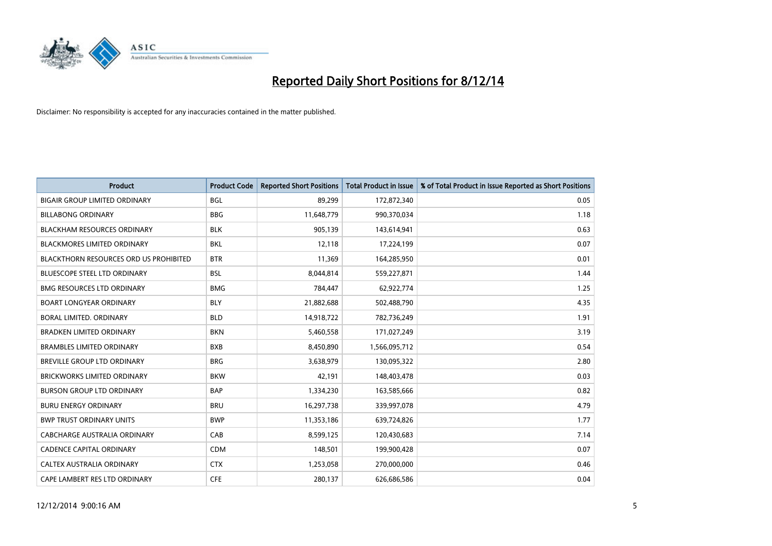

| <b>Product</b>                                | <b>Product Code</b> | <b>Reported Short Positions</b> | <b>Total Product in Issue</b> | % of Total Product in Issue Reported as Short Positions |
|-----------------------------------------------|---------------------|---------------------------------|-------------------------------|---------------------------------------------------------|
| <b>BIGAIR GROUP LIMITED ORDINARY</b>          | <b>BGL</b>          | 89,299                          | 172,872,340                   | 0.05                                                    |
| <b>BILLABONG ORDINARY</b>                     | <b>BBG</b>          | 11,648,779                      | 990,370,034                   | 1.18                                                    |
| <b>BLACKHAM RESOURCES ORDINARY</b>            | <b>BLK</b>          | 905,139                         | 143,614,941                   | 0.63                                                    |
| <b>BLACKMORES LIMITED ORDINARY</b>            | <b>BKL</b>          | 12,118                          | 17,224,199                    | 0.07                                                    |
| <b>BLACKTHORN RESOURCES ORD US PROHIBITED</b> | <b>BTR</b>          | 11,369                          | 164,285,950                   | 0.01                                                    |
| <b>BLUESCOPE STEEL LTD ORDINARY</b>           | <b>BSL</b>          | 8,044,814                       | 559,227,871                   | 1.44                                                    |
| <b>BMG RESOURCES LTD ORDINARY</b>             | <b>BMG</b>          | 784,447                         | 62,922,774                    | 1.25                                                    |
| <b>BOART LONGYEAR ORDINARY</b>                | <b>BLY</b>          | 21,882,688                      | 502,488,790                   | 4.35                                                    |
| <b>BORAL LIMITED, ORDINARY</b>                | <b>BLD</b>          | 14,918,722                      | 782,736,249                   | 1.91                                                    |
| <b>BRADKEN LIMITED ORDINARY</b>               | <b>BKN</b>          | 5,460,558                       | 171,027,249                   | 3.19                                                    |
| <b>BRAMBLES LIMITED ORDINARY</b>              | <b>BXB</b>          | 8,450,890                       | 1,566,095,712                 | 0.54                                                    |
| BREVILLE GROUP LTD ORDINARY                   | <b>BRG</b>          | 3,638,979                       | 130,095,322                   | 2.80                                                    |
| <b>BRICKWORKS LIMITED ORDINARY</b>            | <b>BKW</b>          | 42,191                          | 148,403,478                   | 0.03                                                    |
| <b>BURSON GROUP LTD ORDINARY</b>              | <b>BAP</b>          | 1,334,230                       | 163,585,666                   | 0.82                                                    |
| <b>BURU ENERGY ORDINARY</b>                   | <b>BRU</b>          | 16,297,738                      | 339,997,078                   | 4.79                                                    |
| <b>BWP TRUST ORDINARY UNITS</b>               | <b>BWP</b>          | 11,353,186                      | 639,724,826                   | 1.77                                                    |
| CABCHARGE AUSTRALIA ORDINARY                  | CAB                 | 8,599,125                       | 120,430,683                   | 7.14                                                    |
| CADENCE CAPITAL ORDINARY                      | <b>CDM</b>          | 148,501                         | 199,900,428                   | 0.07                                                    |
| CALTEX AUSTRALIA ORDINARY                     | <b>CTX</b>          | 1,253,058                       | 270,000,000                   | 0.46                                                    |
| CAPE LAMBERT RES LTD ORDINARY                 | <b>CFE</b>          | 280,137                         | 626,686,586                   | 0.04                                                    |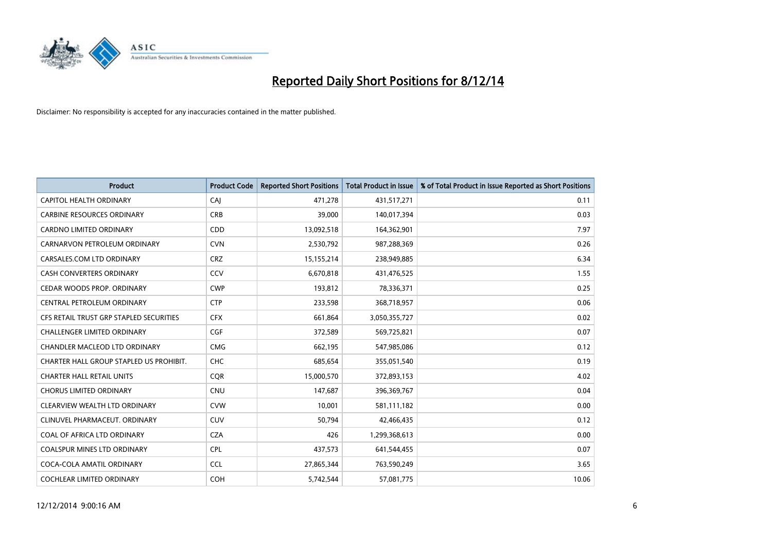

| <b>Product</b>                          | <b>Product Code</b> | <b>Reported Short Positions</b> | <b>Total Product in Issue</b> | % of Total Product in Issue Reported as Short Positions |
|-----------------------------------------|---------------------|---------------------------------|-------------------------------|---------------------------------------------------------|
| CAPITOL HEALTH ORDINARY                 | CAJ                 | 471,278                         | 431,517,271                   | 0.11                                                    |
| <b>CARBINE RESOURCES ORDINARY</b>       | <b>CRB</b>          | 39,000                          | 140,017,394                   | 0.03                                                    |
| <b>CARDNO LIMITED ORDINARY</b>          | <b>CDD</b>          | 13,092,518                      | 164,362,901                   | 7.97                                                    |
| CARNARVON PETROLEUM ORDINARY            | <b>CVN</b>          | 2,530,792                       | 987,288,369                   | 0.26                                                    |
| CARSALES.COM LTD ORDINARY               | <b>CRZ</b>          | 15,155,214                      | 238,949,885                   | 6.34                                                    |
| <b>CASH CONVERTERS ORDINARY</b>         | <b>CCV</b>          | 6,670,818                       | 431,476,525                   | 1.55                                                    |
| CEDAR WOODS PROP. ORDINARY              | <b>CWP</b>          | 193,812                         | 78,336,371                    | 0.25                                                    |
| CENTRAL PETROLEUM ORDINARY              | <b>CTP</b>          | 233,598                         | 368,718,957                   | 0.06                                                    |
| CFS RETAIL TRUST GRP STAPLED SECURITIES | <b>CFX</b>          | 661,864                         | 3,050,355,727                 | 0.02                                                    |
| <b>CHALLENGER LIMITED ORDINARY</b>      | <b>CGF</b>          | 372,589                         | 569,725,821                   | 0.07                                                    |
| CHANDLER MACLEOD LTD ORDINARY           | <b>CMG</b>          | 662,195                         | 547,985,086                   | 0.12                                                    |
| CHARTER HALL GROUP STAPLED US PROHIBIT. | <b>CHC</b>          | 685,654                         | 355,051,540                   | 0.19                                                    |
| <b>CHARTER HALL RETAIL UNITS</b>        | <b>CQR</b>          | 15,000,570                      | 372,893,153                   | 4.02                                                    |
| <b>CHORUS LIMITED ORDINARY</b>          | <b>CNU</b>          | 147,687                         | 396,369,767                   | 0.04                                                    |
| CLEARVIEW WEALTH LTD ORDINARY           | <b>CVW</b>          | 10,001                          | 581,111,182                   | 0.00                                                    |
| CLINUVEL PHARMACEUT. ORDINARY           | <b>CUV</b>          | 50,794                          | 42,466,435                    | 0.12                                                    |
| COAL OF AFRICA LTD ORDINARY             | <b>CZA</b>          | 426                             | 1,299,368,613                 | 0.00                                                    |
| COALSPUR MINES LTD ORDINARY             | <b>CPL</b>          | 437,573                         | 641,544,455                   | 0.07                                                    |
| COCA-COLA AMATIL ORDINARY               | <b>CCL</b>          | 27,865,344                      | 763,590,249                   | 3.65                                                    |
| <b>COCHLEAR LIMITED ORDINARY</b>        | <b>COH</b>          | 5,742,544                       | 57,081,775                    | 10.06                                                   |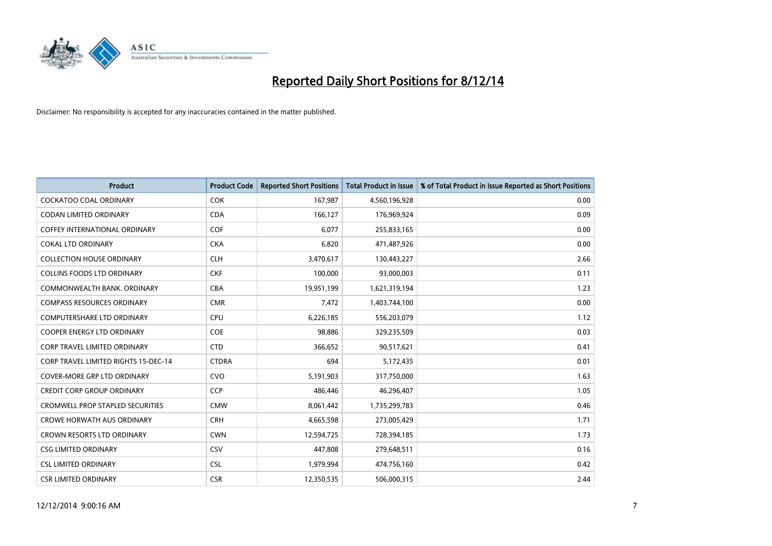

| <b>Product</b>                          | <b>Product Code</b> | <b>Reported Short Positions</b> | <b>Total Product in Issue</b> | % of Total Product in Issue Reported as Short Positions |
|-----------------------------------------|---------------------|---------------------------------|-------------------------------|---------------------------------------------------------|
| <b>COCKATOO COAL ORDINARY</b>           | <b>COK</b>          | 167,987                         | 4,560,196,928                 | 0.00                                                    |
| CODAN LIMITED ORDINARY                  | <b>CDA</b>          | 166,127                         | 176,969,924                   | 0.09                                                    |
| <b>COFFEY INTERNATIONAL ORDINARY</b>    | <b>COF</b>          | 6,077                           | 255,833,165                   | 0.00                                                    |
| <b>COKAL LTD ORDINARY</b>               | <b>CKA</b>          | 6,820                           | 471,487,926                   | 0.00                                                    |
| <b>COLLECTION HOUSE ORDINARY</b>        | <b>CLH</b>          | 3,470,617                       | 130,443,227                   | 2.66                                                    |
| <b>COLLINS FOODS LTD ORDINARY</b>       | <b>CKF</b>          | 100,000                         | 93,000,003                    | 0.11                                                    |
| COMMONWEALTH BANK, ORDINARY             | <b>CBA</b>          | 19,951,199                      | 1,621,319,194                 | 1.23                                                    |
| <b>COMPASS RESOURCES ORDINARY</b>       | <b>CMR</b>          | 7,472                           | 1,403,744,100                 | 0.00                                                    |
| <b>COMPUTERSHARE LTD ORDINARY</b>       | <b>CPU</b>          | 6,226,185                       | 556,203,079                   | 1.12                                                    |
| <b>COOPER ENERGY LTD ORDINARY</b>       | <b>COE</b>          | 98,886                          | 329,235,509                   | 0.03                                                    |
| <b>CORP TRAVEL LIMITED ORDINARY</b>     | <b>CTD</b>          | 366,652                         | 90,517,621                    | 0.41                                                    |
| CORP TRAVEL LIMITED RIGHTS 15-DEC-14    | <b>CTDRA</b>        | 694                             | 5,172,435                     | 0.01                                                    |
| <b>COVER-MORE GRP LTD ORDINARY</b>      | <b>CVO</b>          | 5,191,903                       | 317,750,000                   | 1.63                                                    |
| <b>CREDIT CORP GROUP ORDINARY</b>       | <b>CCP</b>          | 486,446                         | 46,296,407                    | 1.05                                                    |
| <b>CROMWELL PROP STAPLED SECURITIES</b> | <b>CMW</b>          | 8,061,442                       | 1,735,299,783                 | 0.46                                                    |
| <b>CROWE HORWATH AUS ORDINARY</b>       | <b>CRH</b>          | 4,665,598                       | 273,005,429                   | 1.71                                                    |
| CROWN RESORTS LTD ORDINARY              | <b>CWN</b>          | 12,594,725                      | 728,394,185                   | 1.73                                                    |
| <b>CSG LIMITED ORDINARY</b>             | CSV                 | 447,808                         | 279,648,511                   | 0.16                                                    |
| <b>CSL LIMITED ORDINARY</b>             | <b>CSL</b>          | 1,979,994                       | 474,756,160                   | 0.42                                                    |
| <b>CSR LIMITED ORDINARY</b>             | <b>CSR</b>          | 12,350,535                      | 506,000,315                   | 2.44                                                    |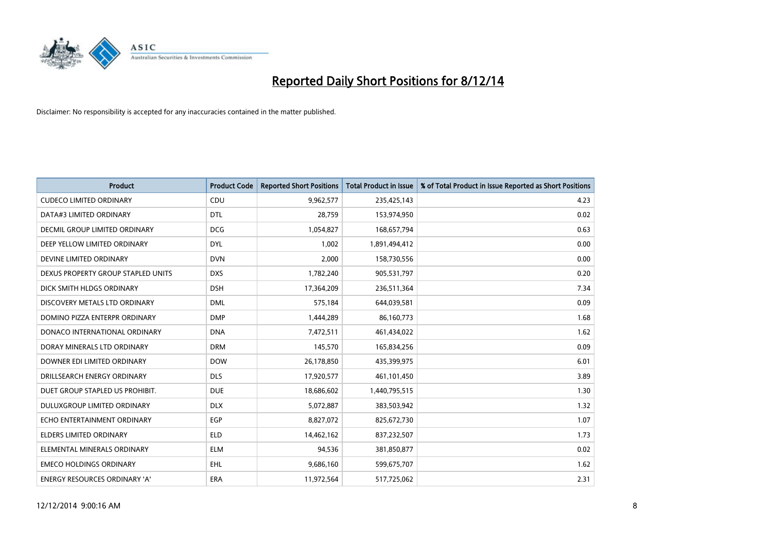

| <b>Product</b>                       | <b>Product Code</b> | <b>Reported Short Positions</b> | <b>Total Product in Issue</b> | % of Total Product in Issue Reported as Short Positions |
|--------------------------------------|---------------------|---------------------------------|-------------------------------|---------------------------------------------------------|
| <b>CUDECO LIMITED ORDINARY</b>       | CDU                 | 9,962,577                       | 235,425,143                   | 4.23                                                    |
| DATA#3 LIMITED ORDINARY              | <b>DTL</b>          | 28,759                          | 153,974,950                   | 0.02                                                    |
| <b>DECMIL GROUP LIMITED ORDINARY</b> | <b>DCG</b>          | 1,054,827                       | 168,657,794                   | 0.63                                                    |
| DEEP YELLOW LIMITED ORDINARY         | <b>DYL</b>          | 1,002                           | 1,891,494,412                 | 0.00                                                    |
| DEVINE LIMITED ORDINARY              | <b>DVN</b>          | 2,000                           | 158,730,556                   | 0.00                                                    |
| DEXUS PROPERTY GROUP STAPLED UNITS   | <b>DXS</b>          | 1,782,240                       | 905,531,797                   | 0.20                                                    |
| DICK SMITH HLDGS ORDINARY            | <b>DSH</b>          | 17,364,209                      | 236,511,364                   | 7.34                                                    |
| DISCOVERY METALS LTD ORDINARY        | <b>DML</b>          | 575,184                         | 644,039,581                   | 0.09                                                    |
| DOMINO PIZZA ENTERPR ORDINARY        | <b>DMP</b>          | 1,444,289                       | 86,160,773                    | 1.68                                                    |
| DONACO INTERNATIONAL ORDINARY        | <b>DNA</b>          | 7,472,511                       | 461,434,022                   | 1.62                                                    |
| DORAY MINERALS LTD ORDINARY          | <b>DRM</b>          | 145,570                         | 165,834,256                   | 0.09                                                    |
| DOWNER EDI LIMITED ORDINARY          | <b>DOW</b>          | 26,178,850                      | 435,399,975                   | 6.01                                                    |
| DRILLSEARCH ENERGY ORDINARY          | <b>DLS</b>          | 17,920,577                      | 461,101,450                   | 3.89                                                    |
| DUET GROUP STAPLED US PROHIBIT.      | <b>DUE</b>          | 18,686,602                      | 1,440,795,515                 | 1.30                                                    |
| DULUXGROUP LIMITED ORDINARY          | <b>DLX</b>          | 5,072,887                       | 383,503,942                   | 1.32                                                    |
| ECHO ENTERTAINMENT ORDINARY          | <b>EGP</b>          | 8,827,072                       | 825,672,730                   | 1.07                                                    |
| ELDERS LIMITED ORDINARY              | <b>ELD</b>          | 14,462,162                      | 837,232,507                   | 1.73                                                    |
| ELEMENTAL MINERALS ORDINARY          | ELM                 | 94,536                          | 381,850,877                   | 0.02                                                    |
| <b>EMECO HOLDINGS ORDINARY</b>       | <b>EHL</b>          | 9,686,160                       | 599,675,707                   | 1.62                                                    |
| ENERGY RESOURCES ORDINARY 'A'        | ERA                 | 11,972,564                      | 517,725,062                   | 2.31                                                    |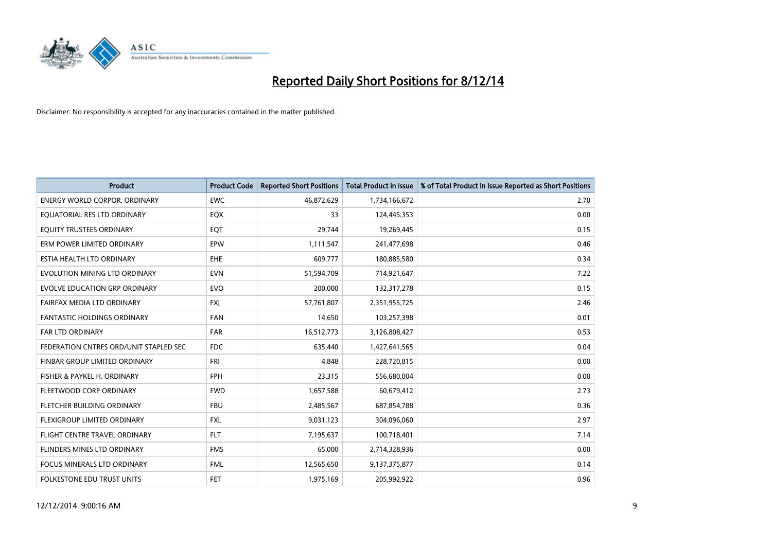

| <b>Product</b>                         | <b>Product Code</b> | <b>Reported Short Positions</b> | <b>Total Product in Issue</b> | % of Total Product in Issue Reported as Short Positions |
|----------------------------------------|---------------------|---------------------------------|-------------------------------|---------------------------------------------------------|
| <b>ENERGY WORLD CORPOR, ORDINARY</b>   | <b>EWC</b>          | 46,872,629                      | 1,734,166,672                 | 2.70                                                    |
| EQUATORIAL RES LTD ORDINARY            | EQX                 | 33                              | 124,445,353                   | 0.00                                                    |
| EQUITY TRUSTEES ORDINARY               | EQT                 | 29,744                          | 19,269,445                    | 0.15                                                    |
| ERM POWER LIMITED ORDINARY             | EPW                 | 1,111,547                       | 241,477,698                   | 0.46                                                    |
| ESTIA HEALTH LTD ORDINARY              | <b>EHE</b>          | 609,777                         | 180,885,580                   | 0.34                                                    |
| EVOLUTION MINING LTD ORDINARY          | <b>EVN</b>          | 51,594,709                      | 714,921,647                   | 7.22                                                    |
| EVOLVE EDUCATION GRP ORDINARY          | <b>EVO</b>          | 200,000                         | 132,317,278                   | 0.15                                                    |
| FAIRFAX MEDIA LTD ORDINARY             | <b>FXJ</b>          | 57,761,807                      | 2,351,955,725                 | 2.46                                                    |
| <b>FANTASTIC HOLDINGS ORDINARY</b>     | <b>FAN</b>          | 14,650                          | 103,257,398                   | 0.01                                                    |
| FAR LTD ORDINARY                       | <b>FAR</b>          | 16,512,773                      | 3,126,808,427                 | 0.53                                                    |
| FEDERATION CNTRES ORD/UNIT STAPLED SEC | <b>FDC</b>          | 635,440                         | 1,427,641,565                 | 0.04                                                    |
| FINBAR GROUP LIMITED ORDINARY          | <b>FRI</b>          | 4,848                           | 228,720,815                   | 0.00                                                    |
| FISHER & PAYKEL H. ORDINARY            | <b>FPH</b>          | 23,315                          | 556,680,004                   | 0.00                                                    |
| FLEETWOOD CORP ORDINARY                | <b>FWD</b>          | 1,657,588                       | 60,679,412                    | 2.73                                                    |
| FLETCHER BUILDING ORDINARY             | <b>FBU</b>          | 2,485,567                       | 687,854,788                   | 0.36                                                    |
| FLEXIGROUP LIMITED ORDINARY            | <b>FXL</b>          | 9,031,123                       | 304,096,060                   | 2.97                                                    |
| FLIGHT CENTRE TRAVEL ORDINARY          | <b>FLT</b>          | 7,195,637                       | 100,718,401                   | 7.14                                                    |
| FLINDERS MINES LTD ORDINARY            | <b>FMS</b>          | 65,000                          | 2,714,328,936                 | 0.00                                                    |
| <b>FOCUS MINERALS LTD ORDINARY</b>     | <b>FML</b>          | 12,565,650                      | 9,137,375,877                 | 0.14                                                    |
| <b>FOLKESTONE EDU TRUST UNITS</b>      | <b>FET</b>          | 1,975,169                       | 205,992,922                   | 0.96                                                    |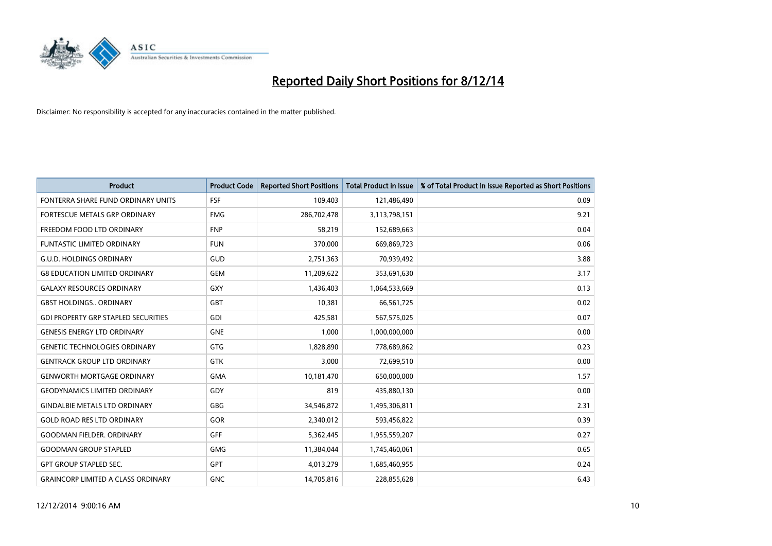

| <b>Product</b>                             | <b>Product Code</b> | <b>Reported Short Positions</b> | <b>Total Product in Issue</b> | % of Total Product in Issue Reported as Short Positions |
|--------------------------------------------|---------------------|---------------------------------|-------------------------------|---------------------------------------------------------|
| FONTERRA SHARE FUND ORDINARY UNITS         | <b>FSF</b>          | 109,403                         | 121,486,490                   | 0.09                                                    |
| FORTESCUE METALS GRP ORDINARY              | <b>FMG</b>          | 286,702,478                     | 3,113,798,151                 | 9.21                                                    |
| FREEDOM FOOD LTD ORDINARY                  | <b>FNP</b>          | 58,219                          | 152,689,663                   | 0.04                                                    |
| FUNTASTIC LIMITED ORDINARY                 | <b>FUN</b>          | 370,000                         | 669,869,723                   | 0.06                                                    |
| <b>G.U.D. HOLDINGS ORDINARY</b>            | GUD                 | 2,751,363                       | 70,939,492                    | 3.88                                                    |
| <b>G8 EDUCATION LIMITED ORDINARY</b>       | <b>GEM</b>          | 11,209,622                      | 353,691,630                   | 3.17                                                    |
| <b>GALAXY RESOURCES ORDINARY</b>           | <b>GXY</b>          | 1,436,403                       | 1,064,533,669                 | 0.13                                                    |
| <b>GBST HOLDINGS ORDINARY</b>              | <b>GBT</b>          | 10,381                          | 66,561,725                    | 0.02                                                    |
| <b>GDI PROPERTY GRP STAPLED SECURITIES</b> | GDI                 | 425,581                         | 567,575,025                   | 0.07                                                    |
| <b>GENESIS ENERGY LTD ORDINARY</b>         | <b>GNE</b>          | 1,000                           | 1,000,000,000                 | 0.00                                                    |
| <b>GENETIC TECHNOLOGIES ORDINARY</b>       | <b>GTG</b>          | 1,828,890                       | 778,689,862                   | 0.23                                                    |
| <b>GENTRACK GROUP LTD ORDINARY</b>         | <b>GTK</b>          | 3,000                           | 72,699,510                    | 0.00                                                    |
| <b>GENWORTH MORTGAGE ORDINARY</b>          | <b>GMA</b>          | 10,181,470                      | 650,000,000                   | 1.57                                                    |
| <b>GEODYNAMICS LIMITED ORDINARY</b>        | GDY                 | 819                             | 435,880,130                   | 0.00                                                    |
| <b>GINDALBIE METALS LTD ORDINARY</b>       | <b>GBG</b>          | 34,546,872                      | 1,495,306,811                 | 2.31                                                    |
| <b>GOLD ROAD RES LTD ORDINARY</b>          | GOR                 | 2,340,012                       | 593,456,822                   | 0.39                                                    |
| <b>GOODMAN FIELDER. ORDINARY</b>           | GFF                 | 5,362,445                       | 1,955,559,207                 | 0.27                                                    |
| <b>GOODMAN GROUP STAPLED</b>               | <b>GMG</b>          | 11,384,044                      | 1,745,460,061                 | 0.65                                                    |
| <b>GPT GROUP STAPLED SEC.</b>              | GPT                 | 4,013,279                       | 1,685,460,955                 | 0.24                                                    |
| <b>GRAINCORP LIMITED A CLASS ORDINARY</b>  | <b>GNC</b>          | 14,705,816                      | 228,855,628                   | 6.43                                                    |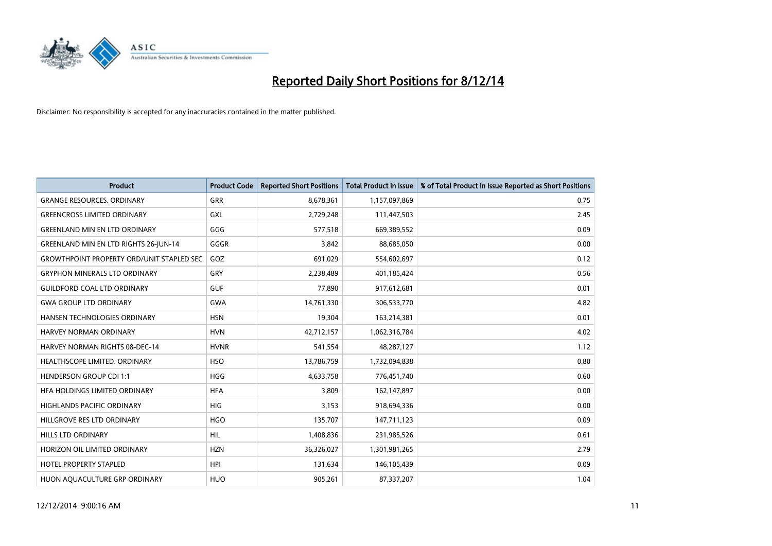

| <b>Product</b>                                    | <b>Product Code</b> | <b>Reported Short Positions</b> | <b>Total Product in Issue</b> | % of Total Product in Issue Reported as Short Positions |
|---------------------------------------------------|---------------------|---------------------------------|-------------------------------|---------------------------------------------------------|
| <b>GRANGE RESOURCES, ORDINARY</b>                 | GRR                 | 8,678,361                       | 1,157,097,869                 | 0.75                                                    |
| <b>GREENCROSS LIMITED ORDINARY</b>                | GXL                 | 2,729,248                       | 111,447,503                   | 2.45                                                    |
| <b>GREENLAND MIN EN LTD ORDINARY</b>              | GGG                 | 577,518                         | 669,389,552                   | 0.09                                                    |
| GREENLAND MIN EN LTD RIGHTS 26-JUN-14             | GGGR                | 3,842                           | 88,685,050                    | 0.00                                                    |
| <b>GROWTHPOINT PROPERTY ORD/UNIT STAPLED SEC.</b> | GOZ                 | 691,029                         | 554,602,697                   | 0.12                                                    |
| <b>GRYPHON MINERALS LTD ORDINARY</b>              | GRY                 | 2,238,489                       | 401,185,424                   | 0.56                                                    |
| <b>GUILDFORD COAL LTD ORDINARY</b>                | <b>GUF</b>          | 77,890                          | 917,612,681                   | 0.01                                                    |
| <b>GWA GROUP LTD ORDINARY</b>                     | GWA                 | 14,761,330                      | 306,533,770                   | 4.82                                                    |
| HANSEN TECHNOLOGIES ORDINARY                      | <b>HSN</b>          | 19,304                          | 163,214,381                   | 0.01                                                    |
| <b>HARVEY NORMAN ORDINARY</b>                     | <b>HVN</b>          | 42,712,157                      | 1,062,316,784                 | 4.02                                                    |
| <b>HARVEY NORMAN RIGHTS 08-DEC-14</b>             | <b>HVNR</b>         | 541,554                         | 48,287,127                    | 1.12                                                    |
| HEALTHSCOPE LIMITED. ORDINARY                     | <b>HSO</b>          | 13,786,759                      | 1,732,094,838                 | 0.80                                                    |
| <b>HENDERSON GROUP CDI 1:1</b>                    | <b>HGG</b>          | 4,633,758                       | 776,451,740                   | 0.60                                                    |
| HFA HOLDINGS LIMITED ORDINARY                     | <b>HFA</b>          | 3,809                           | 162,147,897                   | 0.00                                                    |
| <b>HIGHLANDS PACIFIC ORDINARY</b>                 | <b>HIG</b>          | 3,153                           | 918,694,336                   | 0.00                                                    |
| HILLGROVE RES LTD ORDINARY                        | <b>HGO</b>          | 135,707                         | 147,711,123                   | 0.09                                                    |
| <b>HILLS LTD ORDINARY</b>                         | <b>HIL</b>          | 1,408,836                       | 231,985,526                   | 0.61                                                    |
| HORIZON OIL LIMITED ORDINARY                      | <b>HZN</b>          | 36,326,027                      | 1,301,981,265                 | 2.79                                                    |
| <b>HOTEL PROPERTY STAPLED</b>                     | <b>HPI</b>          | 131,634                         | 146, 105, 439                 | 0.09                                                    |
| HUON AQUACULTURE GRP ORDINARY                     | <b>HUO</b>          | 905,261                         | 87,337,207                    | 1.04                                                    |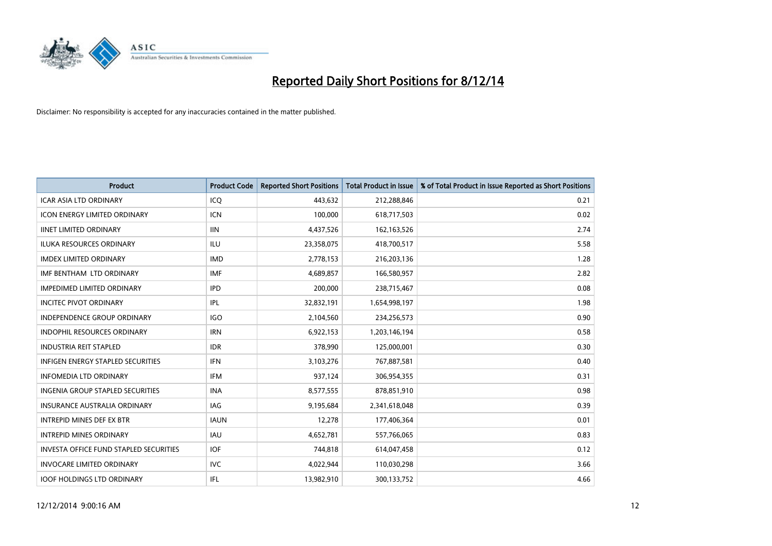

| <b>Product</b>                           | <b>Product Code</b> | <b>Reported Short Positions</b> | <b>Total Product in Issue</b> | % of Total Product in Issue Reported as Short Positions |
|------------------------------------------|---------------------|---------------------------------|-------------------------------|---------------------------------------------------------|
| <b>ICAR ASIA LTD ORDINARY</b>            | ICQ                 | 443,632                         | 212,288,846                   | 0.21                                                    |
| ICON ENERGY LIMITED ORDINARY             | <b>ICN</b>          | 100,000                         | 618,717,503                   | 0.02                                                    |
| <b>IINET LIMITED ORDINARY</b>            | <b>IIN</b>          | 4,437,526                       | 162,163,526                   | 2.74                                                    |
| ILUKA RESOURCES ORDINARY                 | ILU                 | 23,358,075                      | 418,700,517                   | 5.58                                                    |
| <b>IMDEX LIMITED ORDINARY</b>            | <b>IMD</b>          | 2,778,153                       | 216,203,136                   | 1.28                                                    |
| IMF BENTHAM LTD ORDINARY                 | <b>IMF</b>          | 4,689,857                       | 166,580,957                   | 2.82                                                    |
| <b>IMPEDIMED LIMITED ORDINARY</b>        | <b>IPD</b>          | 200,000                         | 238,715,467                   | 0.08                                                    |
| <b>INCITEC PIVOT ORDINARY</b>            | IPL                 | 32,832,191                      | 1,654,998,197                 | 1.98                                                    |
| INDEPENDENCE GROUP ORDINARY              | <b>IGO</b>          | 2,104,560                       | 234,256,573                   | 0.90                                                    |
| <b>INDOPHIL RESOURCES ORDINARY</b>       | <b>IRN</b>          | 6,922,153                       | 1,203,146,194                 | 0.58                                                    |
| <b>INDUSTRIA REIT STAPLED</b>            | <b>IDR</b>          | 378,990                         | 125,000,001                   | 0.30                                                    |
| <b>INFIGEN ENERGY STAPLED SECURITIES</b> | <b>IFN</b>          | 3,103,276                       | 767,887,581                   | 0.40                                                    |
| <b>INFOMEDIA LTD ORDINARY</b>            | <b>IFM</b>          | 937,124                         | 306,954,355                   | 0.31                                                    |
| <b>INGENIA GROUP STAPLED SECURITIES</b>  | <b>INA</b>          | 8,577,555                       | 878,851,910                   | 0.98                                                    |
| <b>INSURANCE AUSTRALIA ORDINARY</b>      | <b>IAG</b>          | 9,195,684                       | 2,341,618,048                 | 0.39                                                    |
| <b>INTREPID MINES DEF EX BTR</b>         | <b>IAUN</b>         | 12,278                          | 177,406,364                   | 0.01                                                    |
| <b>INTREPID MINES ORDINARY</b>           | <b>IAU</b>          | 4,652,781                       | 557,766,065                   | 0.83                                                    |
| INVESTA OFFICE FUND STAPLED SECURITIES   | <b>IOF</b>          | 744,818                         | 614,047,458                   | 0.12                                                    |
| <b>INVOCARE LIMITED ORDINARY</b>         | <b>IVC</b>          | 4,022,944                       | 110,030,298                   | 3.66                                                    |
| <b>IOOF HOLDINGS LTD ORDINARY</b>        | IFL                 | 13,982,910                      | 300,133,752                   | 4.66                                                    |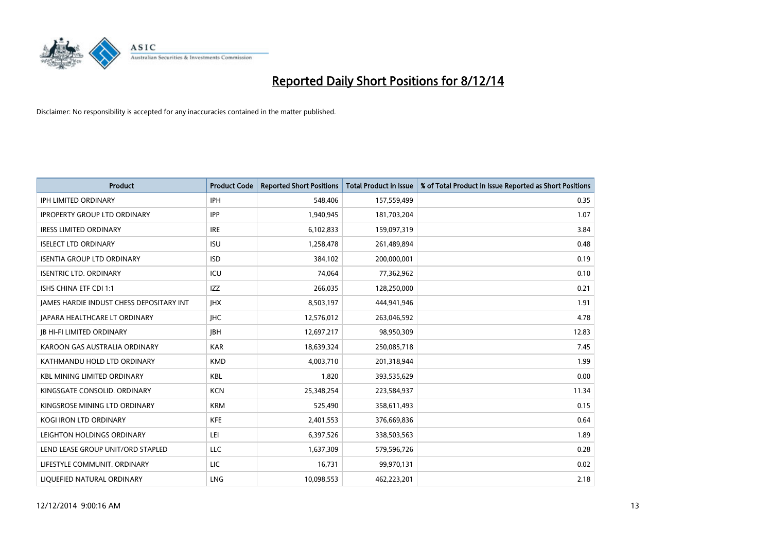

| <b>Product</b>                           | <b>Product Code</b> | <b>Reported Short Positions</b> | <b>Total Product in Issue</b> | % of Total Product in Issue Reported as Short Positions |
|------------------------------------------|---------------------|---------------------------------|-------------------------------|---------------------------------------------------------|
| <b>IPH LIMITED ORDINARY</b>              | <b>IPH</b>          | 548,406                         | 157,559,499                   | 0.35                                                    |
| <b>IPROPERTY GROUP LTD ORDINARY</b>      | <b>IPP</b>          | 1,940,945                       | 181,703,204                   | 1.07                                                    |
| <b>IRESS LIMITED ORDINARY</b>            | <b>IRE</b>          | 6,102,833                       | 159,097,319                   | 3.84                                                    |
| <b>ISELECT LTD ORDINARY</b>              | <b>ISU</b>          | 1,258,478                       | 261,489,894                   | 0.48                                                    |
| <b>ISENTIA GROUP LTD ORDINARY</b>        | <b>ISD</b>          | 384,102                         | 200,000,001                   | 0.19                                                    |
| <b>ISENTRIC LTD. ORDINARY</b>            | ICU                 | 74,064                          | 77,362,962                    | 0.10                                                    |
| ISHS CHINA ETF CDI 1:1                   | IZZ                 | 266,035                         | 128,250,000                   | 0.21                                                    |
| JAMES HARDIE INDUST CHESS DEPOSITARY INT | <b>IHX</b>          | 8,503,197                       | 444,941,946                   | 1.91                                                    |
| JAPARA HEALTHCARE LT ORDINARY            | <b>IHC</b>          | 12,576,012                      | 263,046,592                   | 4.78                                                    |
| <b>JB HI-FI LIMITED ORDINARY</b>         | <b>IBH</b>          | 12,697,217                      | 98,950,309                    | 12.83                                                   |
| KAROON GAS AUSTRALIA ORDINARY            | <b>KAR</b>          | 18,639,324                      | 250,085,718                   | 7.45                                                    |
| KATHMANDU HOLD LTD ORDINARY              | <b>KMD</b>          | 4,003,710                       | 201,318,944                   | 1.99                                                    |
| <b>KBL MINING LIMITED ORDINARY</b>       | <b>KBL</b>          | 1,820                           | 393,535,629                   | 0.00                                                    |
| KINGSGATE CONSOLID. ORDINARY             | <b>KCN</b>          | 25,348,254                      | 223,584,937                   | 11.34                                                   |
| KINGSROSE MINING LTD ORDINARY            | <b>KRM</b>          | 525,490                         | 358,611,493                   | 0.15                                                    |
| <b>KOGI IRON LTD ORDINARY</b>            | <b>KFE</b>          | 2,401,553                       | 376,669,836                   | 0.64                                                    |
| LEIGHTON HOLDINGS ORDINARY               | LEI                 | 6,397,526                       | 338,503,563                   | 1.89                                                    |
| LEND LEASE GROUP UNIT/ORD STAPLED        | <b>LLC</b>          | 1,637,309                       | 579,596,726                   | 0.28                                                    |
| LIFESTYLE COMMUNIT. ORDINARY             | LIC                 | 16,731                          | 99,970,131                    | 0.02                                                    |
| LIQUEFIED NATURAL ORDINARY               | LNG                 | 10,098,553                      | 462,223,201                   | 2.18                                                    |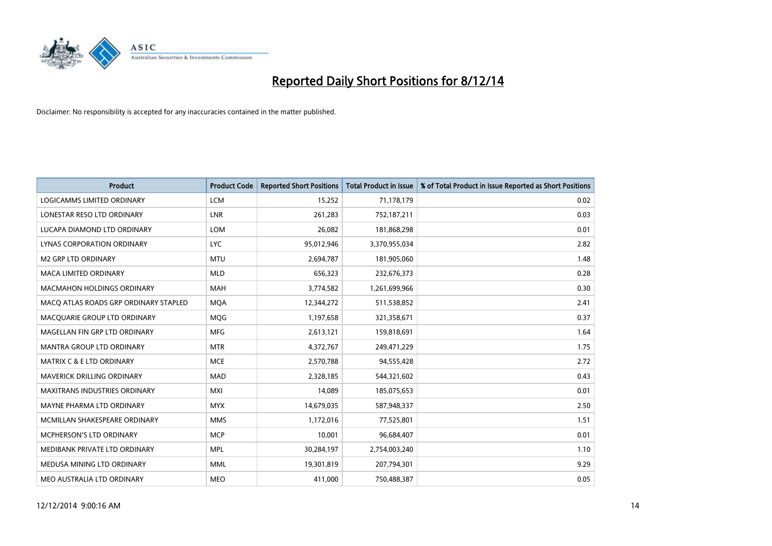

| <b>Product</b>                        | <b>Product Code</b> | <b>Reported Short Positions</b> | <b>Total Product in Issue</b> | % of Total Product in Issue Reported as Short Positions |
|---------------------------------------|---------------------|---------------------------------|-------------------------------|---------------------------------------------------------|
| LOGICAMMS LIMITED ORDINARY            | <b>LCM</b>          | 15,252                          | 71,178,179                    | 0.02                                                    |
| LONESTAR RESO LTD ORDINARY            | <b>LNR</b>          | 261,283                         | 752,187,211                   | 0.03                                                    |
| LUCAPA DIAMOND LTD ORDINARY           | <b>LOM</b>          | 26,082                          | 181,868,298                   | 0.01                                                    |
| LYNAS CORPORATION ORDINARY            | <b>LYC</b>          | 95,012,946                      | 3,370,955,034                 | 2.82                                                    |
| <b>M2 GRP LTD ORDINARY</b>            | <b>MTU</b>          | 2,694,787                       | 181,905,060                   | 1.48                                                    |
| <b>MACA LIMITED ORDINARY</b>          | <b>MLD</b>          | 656,323                         | 232,676,373                   | 0.28                                                    |
| <b>MACMAHON HOLDINGS ORDINARY</b>     | MAH                 | 3,774,582                       | 1,261,699,966                 | 0.30                                                    |
| MACQ ATLAS ROADS GRP ORDINARY STAPLED | <b>MQA</b>          | 12,344,272                      | 511,538,852                   | 2.41                                                    |
| MACQUARIE GROUP LTD ORDINARY          | <b>MOG</b>          | 1,197,658                       | 321,358,671                   | 0.37                                                    |
| MAGELLAN FIN GRP LTD ORDINARY         | <b>MFG</b>          | 2,613,121                       | 159,818,691                   | 1.64                                                    |
| <b>MANTRA GROUP LTD ORDINARY</b>      | <b>MTR</b>          | 4,372,767                       | 249,471,229                   | 1.75                                                    |
| <b>MATRIX C &amp; E LTD ORDINARY</b>  | <b>MCE</b>          | 2,570,788                       | 94,555,428                    | 2.72                                                    |
| MAVERICK DRILLING ORDINARY            | <b>MAD</b>          | 2,328,185                       | 544,321,602                   | 0.43                                                    |
| <b>MAXITRANS INDUSTRIES ORDINARY</b>  | <b>MXI</b>          | 14,089                          | 185,075,653                   | 0.01                                                    |
| MAYNE PHARMA LTD ORDINARY             | <b>MYX</b>          | 14,679,035                      | 587,948,337                   | 2.50                                                    |
| MCMILLAN SHAKESPEARE ORDINARY         | <b>MMS</b>          | 1,172,016                       | 77,525,801                    | 1.51                                                    |
| <b>MCPHERSON'S LTD ORDINARY</b>       | <b>MCP</b>          | 10,001                          | 96,684,407                    | 0.01                                                    |
| MEDIBANK PRIVATE LTD ORDINARY         | <b>MPL</b>          | 30,284,197                      | 2,754,003,240                 | 1.10                                                    |
| MEDUSA MINING LTD ORDINARY            | <b>MML</b>          | 19,301,819                      | 207,794,301                   | 9.29                                                    |
| MEO AUSTRALIA LTD ORDINARY            | <b>MEO</b>          | 411,000                         | 750,488,387                   | 0.05                                                    |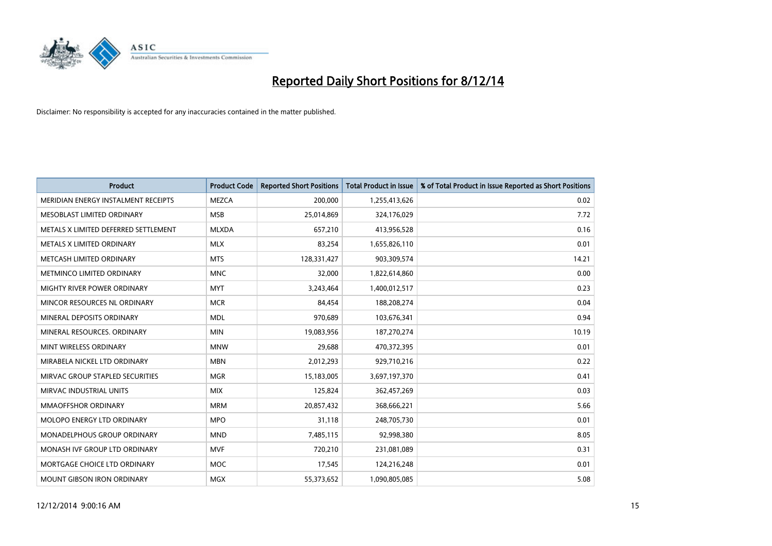

| <b>Product</b>                       | <b>Product Code</b> | <b>Reported Short Positions</b> | <b>Total Product in Issue</b> | % of Total Product in Issue Reported as Short Positions |
|--------------------------------------|---------------------|---------------------------------|-------------------------------|---------------------------------------------------------|
| MERIDIAN ENERGY INSTALMENT RECEIPTS  | <b>MEZCA</b>        | 200,000                         | 1,255,413,626                 | 0.02                                                    |
| MESOBLAST LIMITED ORDINARY           | <b>MSB</b>          | 25,014,869                      | 324,176,029                   | 7.72                                                    |
| METALS X LIMITED DEFERRED SETTLEMENT | <b>MLXDA</b>        | 657,210                         | 413,956,528                   | 0.16                                                    |
| METALS X LIMITED ORDINARY            | <b>MLX</b>          | 83,254                          | 1,655,826,110                 | 0.01                                                    |
| METCASH LIMITED ORDINARY             | <b>MTS</b>          | 128,331,427                     | 903,309,574                   | 14.21                                                   |
| METMINCO LIMITED ORDINARY            | <b>MNC</b>          | 32,000                          | 1,822,614,860                 | 0.00                                                    |
| <b>MIGHTY RIVER POWER ORDINARY</b>   | <b>MYT</b>          | 3,243,464                       | 1,400,012,517                 | 0.23                                                    |
| MINCOR RESOURCES NL ORDINARY         | <b>MCR</b>          | 84,454                          | 188,208,274                   | 0.04                                                    |
| MINERAL DEPOSITS ORDINARY            | <b>MDL</b>          | 970,689                         | 103,676,341                   | 0.94                                                    |
| MINERAL RESOURCES, ORDINARY          | <b>MIN</b>          | 19,083,956                      | 187,270,274                   | 10.19                                                   |
| MINT WIRELESS ORDINARY               | <b>MNW</b>          | 29,688                          | 470,372,395                   | 0.01                                                    |
| MIRABELA NICKEL LTD ORDINARY         | <b>MBN</b>          | 2,012,293                       | 929,710,216                   | 0.22                                                    |
| MIRVAC GROUP STAPLED SECURITIES      | <b>MGR</b>          | 15,183,005                      | 3,697,197,370                 | 0.41                                                    |
| MIRVAC INDUSTRIAL UNITS              | <b>MIX</b>          | 125,824                         | 362,457,269                   | 0.03                                                    |
| <b>MMAOFFSHOR ORDINARY</b>           | <b>MRM</b>          | 20,857,432                      | 368,666,221                   | 5.66                                                    |
| MOLOPO ENERGY LTD ORDINARY           | <b>MPO</b>          | 31,118                          | 248,705,730                   | 0.01                                                    |
| <b>MONADELPHOUS GROUP ORDINARY</b>   | <b>MND</b>          | 7,485,115                       | 92,998,380                    | 8.05                                                    |
| MONASH IVF GROUP LTD ORDINARY        | <b>MVF</b>          | 720,210                         | 231,081,089                   | 0.31                                                    |
| MORTGAGE CHOICE LTD ORDINARY         | <b>MOC</b>          | 17,545                          | 124,216,248                   | 0.01                                                    |
| MOUNT GIBSON IRON ORDINARY           | MGX                 | 55,373,652                      | 1,090,805,085                 | 5.08                                                    |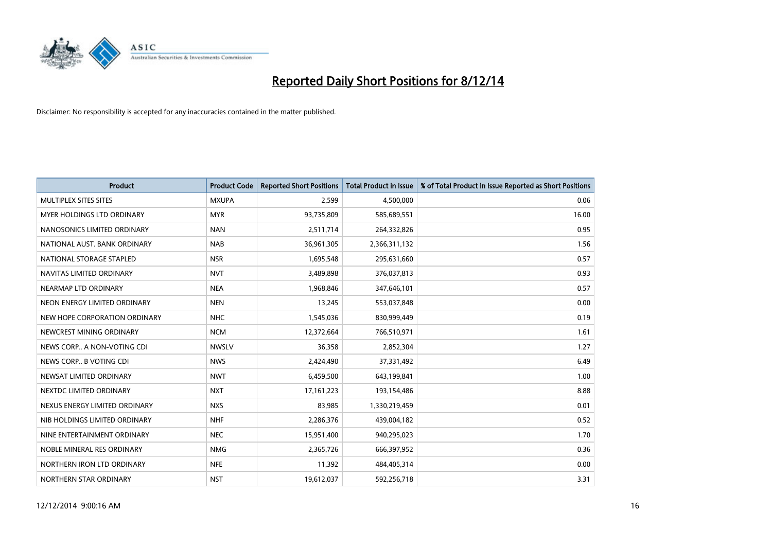

| <b>Product</b>                | <b>Product Code</b> | <b>Reported Short Positions</b> | <b>Total Product in Issue</b> | % of Total Product in Issue Reported as Short Positions |
|-------------------------------|---------------------|---------------------------------|-------------------------------|---------------------------------------------------------|
| MULTIPLEX SITES SITES         | <b>MXUPA</b>        | 2,599                           | 4,500,000                     | 0.06                                                    |
| MYER HOLDINGS LTD ORDINARY    | <b>MYR</b>          | 93,735,809                      | 585,689,551                   | 16.00                                                   |
| NANOSONICS LIMITED ORDINARY   | <b>NAN</b>          | 2,511,714                       | 264,332,826                   | 0.95                                                    |
| NATIONAL AUST, BANK ORDINARY  | <b>NAB</b>          | 36,961,305                      | 2,366,311,132                 | 1.56                                                    |
| NATIONAL STORAGE STAPLED      | <b>NSR</b>          | 1,695,548                       | 295,631,660                   | 0.57                                                    |
| NAVITAS LIMITED ORDINARY      | <b>NVT</b>          | 3,489,898                       | 376,037,813                   | 0.93                                                    |
| NEARMAP LTD ORDINARY          | <b>NEA</b>          | 1,968,846                       | 347,646,101                   | 0.57                                                    |
| NEON ENERGY LIMITED ORDINARY  | <b>NEN</b>          | 13,245                          | 553,037,848                   | 0.00                                                    |
| NEW HOPE CORPORATION ORDINARY | <b>NHC</b>          | 1,545,036                       | 830,999,449                   | 0.19                                                    |
| NEWCREST MINING ORDINARY      | <b>NCM</b>          | 12,372,664                      | 766,510,971                   | 1.61                                                    |
| NEWS CORP A NON-VOTING CDI    | <b>NWSLV</b>        | 36,358                          | 2,852,304                     | 1.27                                                    |
| NEWS CORP B VOTING CDI        | <b>NWS</b>          | 2,424,490                       | 37,331,492                    | 6.49                                                    |
| NEWSAT LIMITED ORDINARY       | <b>NWT</b>          | 6,459,500                       | 643,199,841                   | 1.00                                                    |
| NEXTDC LIMITED ORDINARY       | <b>NXT</b>          | 17, 161, 223                    | 193,154,486                   | 8.88                                                    |
| NEXUS ENERGY LIMITED ORDINARY | <b>NXS</b>          | 83,985                          | 1,330,219,459                 | 0.01                                                    |
| NIB HOLDINGS LIMITED ORDINARY | <b>NHF</b>          | 2,286,376                       | 439,004,182                   | 0.52                                                    |
| NINE ENTERTAINMENT ORDINARY   | <b>NEC</b>          | 15,951,400                      | 940,295,023                   | 1.70                                                    |
| NOBLE MINERAL RES ORDINARY    | <b>NMG</b>          | 2,365,726                       | 666,397,952                   | 0.36                                                    |
| NORTHERN IRON LTD ORDINARY    | <b>NFE</b>          | 11,392                          | 484,405,314                   | 0.00                                                    |
| NORTHERN STAR ORDINARY        | <b>NST</b>          | 19,612,037                      | 592,256,718                   | 3.31                                                    |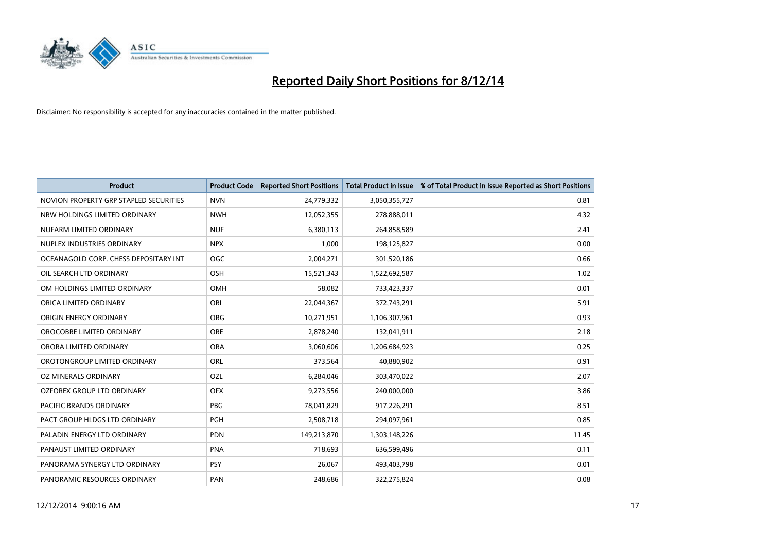

| <b>Product</b>                         | <b>Product Code</b> | <b>Reported Short Positions</b> | <b>Total Product in Issue</b> | % of Total Product in Issue Reported as Short Positions |
|----------------------------------------|---------------------|---------------------------------|-------------------------------|---------------------------------------------------------|
| NOVION PROPERTY GRP STAPLED SECURITIES | <b>NVN</b>          | 24,779,332                      | 3,050,355,727                 | 0.81                                                    |
| NRW HOLDINGS LIMITED ORDINARY          | <b>NWH</b>          | 12,052,355                      | 278,888,011                   | 4.32                                                    |
| NUFARM LIMITED ORDINARY                | <b>NUF</b>          | 6,380,113                       | 264,858,589                   | 2.41                                                    |
| NUPLEX INDUSTRIES ORDINARY             | <b>NPX</b>          | 1.000                           | 198,125,827                   | 0.00                                                    |
| OCEANAGOLD CORP. CHESS DEPOSITARY INT  | <b>OGC</b>          | 2,004,271                       | 301,520,186                   | 0.66                                                    |
| OIL SEARCH LTD ORDINARY                | OSH                 | 15,521,343                      | 1,522,692,587                 | 1.02                                                    |
| OM HOLDINGS LIMITED ORDINARY           | OMH                 | 58,082                          | 733,423,337                   | 0.01                                                    |
| ORICA LIMITED ORDINARY                 | ORI                 | 22,044,367                      | 372,743,291                   | 5.91                                                    |
| ORIGIN ENERGY ORDINARY                 | <b>ORG</b>          | 10,271,951                      | 1,106,307,961                 | 0.93                                                    |
| OROCOBRE LIMITED ORDINARY              | <b>ORE</b>          | 2,878,240                       | 132,041,911                   | 2.18                                                    |
| ORORA LIMITED ORDINARY                 | <b>ORA</b>          | 3,060,606                       | 1,206,684,923                 | 0.25                                                    |
| OROTONGROUP LIMITED ORDINARY           | <b>ORL</b>          | 373,564                         | 40,880,902                    | 0.91                                                    |
| OZ MINERALS ORDINARY                   | OZL                 | 6,284,046                       | 303,470,022                   | 2.07                                                    |
| OZFOREX GROUP LTD ORDINARY             | <b>OFX</b>          | 9,273,556                       | 240,000,000                   | 3.86                                                    |
| <b>PACIFIC BRANDS ORDINARY</b>         | <b>PBG</b>          | 78,041,829                      | 917,226,291                   | 8.51                                                    |
| PACT GROUP HLDGS LTD ORDINARY          | PGH                 | 2,508,718                       | 294,097,961                   | 0.85                                                    |
| PALADIN ENERGY LTD ORDINARY            | <b>PDN</b>          | 149,213,870                     | 1,303,148,226                 | 11.45                                                   |
| PANAUST LIMITED ORDINARY               | <b>PNA</b>          | 718,693                         | 636,599,496                   | 0.11                                                    |
| PANORAMA SYNERGY LTD ORDINARY          | <b>PSY</b>          | 26,067                          | 493,403,798                   | 0.01                                                    |
| PANORAMIC RESOURCES ORDINARY           | PAN                 | 248,686                         | 322,275,824                   | 0.08                                                    |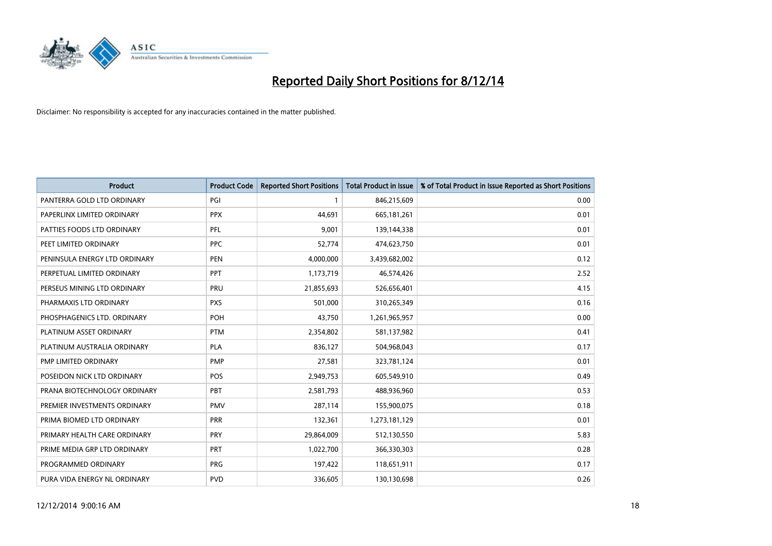

| <b>Product</b>                | <b>Product Code</b> | <b>Reported Short Positions</b> | <b>Total Product in Issue</b> | % of Total Product in Issue Reported as Short Positions |
|-------------------------------|---------------------|---------------------------------|-------------------------------|---------------------------------------------------------|
| PANTERRA GOLD LTD ORDINARY    | PGI                 | 1                               | 846,215,609                   | 0.00                                                    |
| PAPERLINX LIMITED ORDINARY    | <b>PPX</b>          | 44,691                          | 665, 181, 261                 | 0.01                                                    |
| PATTIES FOODS LTD ORDINARY    | PFL                 | 9,001                           | 139,144,338                   | 0.01                                                    |
| PEET LIMITED ORDINARY         | <b>PPC</b>          | 52,774                          | 474,623,750                   | 0.01                                                    |
| PENINSULA ENERGY LTD ORDINARY | <b>PEN</b>          | 4,000,000                       | 3,439,682,002                 | 0.12                                                    |
| PERPETUAL LIMITED ORDINARY    | <b>PPT</b>          | 1,173,719                       | 46,574,426                    | 2.52                                                    |
| PERSEUS MINING LTD ORDINARY   | <b>PRU</b>          | 21,855,693                      | 526,656,401                   | 4.15                                                    |
| PHARMAXIS LTD ORDINARY        | <b>PXS</b>          | 501,000                         | 310,265,349                   | 0.16                                                    |
| PHOSPHAGENICS LTD. ORDINARY   | POH                 | 43,750                          | 1,261,965,957                 | 0.00                                                    |
| PLATINUM ASSET ORDINARY       | <b>PTM</b>          | 2,354,802                       | 581,137,982                   | 0.41                                                    |
| PLATINUM AUSTRALIA ORDINARY   | <b>PLA</b>          | 836,127                         | 504,968,043                   | 0.17                                                    |
| PMP LIMITED ORDINARY          | <b>PMP</b>          | 27,581                          | 323,781,124                   | 0.01                                                    |
| POSEIDON NICK LTD ORDINARY    | <b>POS</b>          | 2,949,753                       | 605,549,910                   | 0.49                                                    |
| PRANA BIOTECHNOLOGY ORDINARY  | PBT                 | 2,581,793                       | 488,936,960                   | 0.53                                                    |
| PREMIER INVESTMENTS ORDINARY  | <b>PMV</b>          | 287,114                         | 155,900,075                   | 0.18                                                    |
| PRIMA BIOMED LTD ORDINARY     | <b>PRR</b>          | 132,361                         | 1,273,181,129                 | 0.01                                                    |
| PRIMARY HEALTH CARE ORDINARY  | <b>PRY</b>          | 29,864,009                      | 512,130,550                   | 5.83                                                    |
| PRIME MEDIA GRP LTD ORDINARY  | <b>PRT</b>          | 1,022,700                       | 366,330,303                   | 0.28                                                    |
| PROGRAMMED ORDINARY           | <b>PRG</b>          | 197,422                         | 118,651,911                   | 0.17                                                    |
| PURA VIDA ENERGY NL ORDINARY  | <b>PVD</b>          | 336,605                         | 130,130,698                   | 0.26                                                    |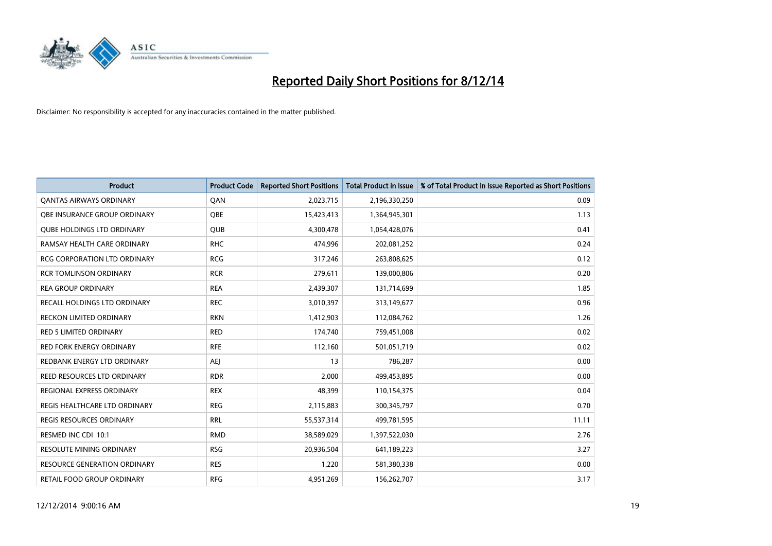

| <b>Product</b>                      | <b>Product Code</b> | <b>Reported Short Positions</b> | <b>Total Product in Issue</b> | % of Total Product in Issue Reported as Short Positions |
|-------------------------------------|---------------------|---------------------------------|-------------------------------|---------------------------------------------------------|
| <b>QANTAS AIRWAYS ORDINARY</b>      | QAN                 | 2,023,715                       | 2,196,330,250                 | 0.09                                                    |
| OBE INSURANCE GROUP ORDINARY        | QBE                 | 15,423,413                      | 1,364,945,301                 | 1.13                                                    |
| <b>QUBE HOLDINGS LTD ORDINARY</b>   | QUB                 | 4,300,478                       | 1,054,428,076                 | 0.41                                                    |
| RAMSAY HEALTH CARE ORDINARY         | <b>RHC</b>          | 474,996                         | 202,081,252                   | 0.24                                                    |
| <b>RCG CORPORATION LTD ORDINARY</b> | <b>RCG</b>          | 317,246                         | 263,808,625                   | 0.12                                                    |
| <b>RCR TOMLINSON ORDINARY</b>       | <b>RCR</b>          | 279,611                         | 139,000,806                   | 0.20                                                    |
| <b>REA GROUP ORDINARY</b>           | <b>REA</b>          | 2,439,307                       | 131,714,699                   | 1.85                                                    |
| RECALL HOLDINGS LTD ORDINARY        | <b>REC</b>          | 3,010,397                       | 313,149,677                   | 0.96                                                    |
| <b>RECKON LIMITED ORDINARY</b>      | <b>RKN</b>          | 1,412,903                       | 112,084,762                   | 1.26                                                    |
| <b>RED 5 LIMITED ORDINARY</b>       | <b>RED</b>          | 174,740                         | 759,451,008                   | 0.02                                                    |
| <b>RED FORK ENERGY ORDINARY</b>     | <b>RFE</b>          | 112,160                         | 501,051,719                   | 0.02                                                    |
| REDBANK ENERGY LTD ORDINARY         | <b>AEJ</b>          | 13                              | 786,287                       | 0.00                                                    |
| REED RESOURCES LTD ORDINARY         | <b>RDR</b>          | 2,000                           | 499,453,895                   | 0.00                                                    |
| REGIONAL EXPRESS ORDINARY           | <b>REX</b>          | 48,399                          | 110,154,375                   | 0.04                                                    |
| REGIS HEALTHCARE LTD ORDINARY       | <b>REG</b>          | 2,115,883                       | 300,345,797                   | 0.70                                                    |
| REGIS RESOURCES ORDINARY            | <b>RRL</b>          | 55,537,314                      | 499,781,595                   | 11.11                                                   |
| RESMED INC CDI 10:1                 | <b>RMD</b>          | 38,589,029                      | 1,397,522,030                 | 2.76                                                    |
| <b>RESOLUTE MINING ORDINARY</b>     | <b>RSG</b>          | 20,936,504                      | 641,189,223                   | 3.27                                                    |
| <b>RESOURCE GENERATION ORDINARY</b> | <b>RES</b>          | 1,220                           | 581,380,338                   | 0.00                                                    |
| RETAIL FOOD GROUP ORDINARY          | <b>RFG</b>          | 4,951,269                       | 156,262,707                   | 3.17                                                    |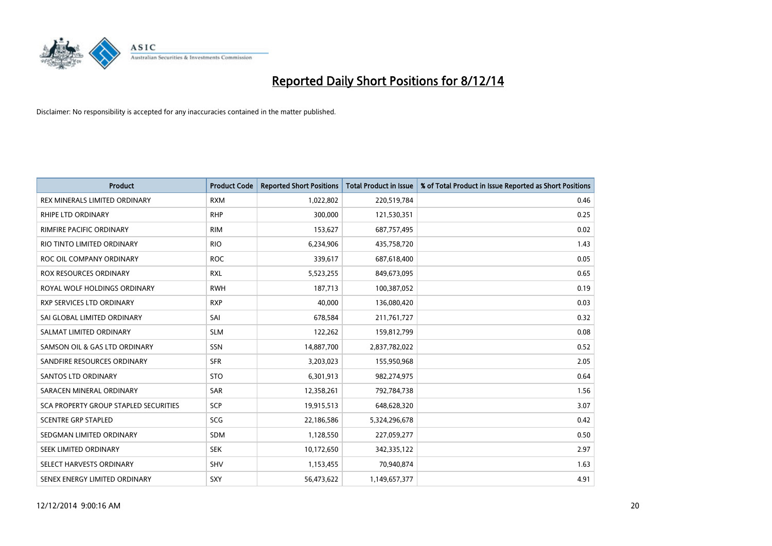

| <b>Product</b>                        | <b>Product Code</b> | <b>Reported Short Positions</b> | <b>Total Product in Issue</b> | % of Total Product in Issue Reported as Short Positions |
|---------------------------------------|---------------------|---------------------------------|-------------------------------|---------------------------------------------------------|
| REX MINERALS LIMITED ORDINARY         | <b>RXM</b>          | 1,022,802                       | 220,519,784                   | 0.46                                                    |
| RHIPE LTD ORDINARY                    | <b>RHP</b>          | 300,000                         | 121,530,351                   | 0.25                                                    |
| RIMFIRE PACIFIC ORDINARY              | <b>RIM</b>          | 153,627                         | 687,757,495                   | 0.02                                                    |
| RIO TINTO LIMITED ORDINARY            | <b>RIO</b>          | 6,234,906                       | 435,758,720                   | 1.43                                                    |
| ROC OIL COMPANY ORDINARY              | <b>ROC</b>          | 339,617                         | 687,618,400                   | 0.05                                                    |
| <b>ROX RESOURCES ORDINARY</b>         | <b>RXL</b>          | 5,523,255                       | 849,673,095                   | 0.65                                                    |
| ROYAL WOLF HOLDINGS ORDINARY          | <b>RWH</b>          | 187,713                         | 100,387,052                   | 0.19                                                    |
| RXP SERVICES LTD ORDINARY             | <b>RXP</b>          | 40,000                          | 136,080,420                   | 0.03                                                    |
| SAI GLOBAL LIMITED ORDINARY           | SAI                 | 678,584                         | 211,761,727                   | 0.32                                                    |
| SALMAT LIMITED ORDINARY               | <b>SLM</b>          | 122,262                         | 159,812,799                   | 0.08                                                    |
| SAMSON OIL & GAS LTD ORDINARY         | SSN                 | 14,887,700                      | 2,837,782,022                 | 0.52                                                    |
| SANDFIRE RESOURCES ORDINARY           | <b>SFR</b>          | 3,203,023                       | 155,950,968                   | 2.05                                                    |
| <b>SANTOS LTD ORDINARY</b>            | <b>STO</b>          | 6,301,913                       | 982,274,975                   | 0.64                                                    |
| SARACEN MINERAL ORDINARY              | SAR                 | 12,358,261                      | 792,784,738                   | 1.56                                                    |
| SCA PROPERTY GROUP STAPLED SECURITIES | SCP                 | 19,915,513                      | 648,628,320                   | 3.07                                                    |
| <b>SCENTRE GRP STAPLED</b>            | SCG                 | 22,186,586                      | 5,324,296,678                 | 0.42                                                    |
| SEDGMAN LIMITED ORDINARY              | SDM                 | 1,128,550                       | 227,059,277                   | 0.50                                                    |
| SEEK LIMITED ORDINARY                 | <b>SEK</b>          | 10,172,650                      | 342,335,122                   | 2.97                                                    |
| SELECT HARVESTS ORDINARY              | SHV                 | 1,153,455                       | 70,940,874                    | 1.63                                                    |
| SENEX ENERGY LIMITED ORDINARY         | SXY                 | 56,473,622                      | 1,149,657,377                 | 4.91                                                    |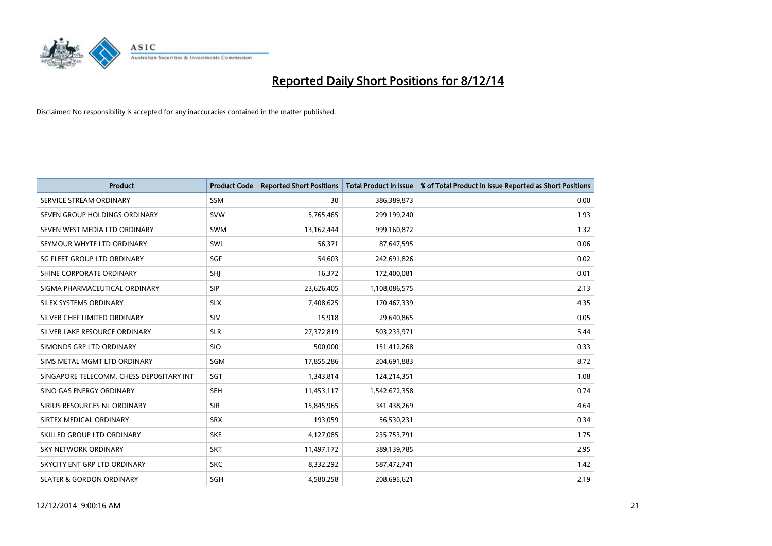

| <b>Product</b>                           | <b>Product Code</b> | <b>Reported Short Positions</b> | <b>Total Product in Issue</b> | % of Total Product in Issue Reported as Short Positions |
|------------------------------------------|---------------------|---------------------------------|-------------------------------|---------------------------------------------------------|
| SERVICE STREAM ORDINARY                  | <b>SSM</b>          | 30                              | 386,389,873                   | 0.00                                                    |
| SEVEN GROUP HOLDINGS ORDINARY            | <b>SVW</b>          | 5,765,465                       | 299,199,240                   | 1.93                                                    |
| SEVEN WEST MEDIA LTD ORDINARY            | <b>SWM</b>          | 13,162,444                      | 999,160,872                   | 1.32                                                    |
| SEYMOUR WHYTE LTD ORDINARY               | <b>SWL</b>          | 56,371                          | 87,647,595                    | 0.06                                                    |
| SG FLEET GROUP LTD ORDINARY              | SGF                 | 54,603                          | 242,691,826                   | 0.02                                                    |
| SHINE CORPORATE ORDINARY                 | SHI                 | 16,372                          | 172,400,081                   | 0.01                                                    |
| SIGMA PHARMACEUTICAL ORDINARY            | <b>SIP</b>          | 23,626,405                      | 1,108,086,575                 | 2.13                                                    |
| SILEX SYSTEMS ORDINARY                   | <b>SLX</b>          | 7,408,625                       | 170,467,339                   | 4.35                                                    |
| SILVER CHEF LIMITED ORDINARY             | SIV                 | 15,918                          | 29,640,865                    | 0.05                                                    |
| SILVER LAKE RESOURCE ORDINARY            | <b>SLR</b>          | 27,372,819                      | 503,233,971                   | 5.44                                                    |
| SIMONDS GRP LTD ORDINARY                 | <b>SIO</b>          | 500,000                         | 151,412,268                   | 0.33                                                    |
| SIMS METAL MGMT LTD ORDINARY             | SGM                 | 17,855,286                      | 204,691,883                   | 8.72                                                    |
| SINGAPORE TELECOMM. CHESS DEPOSITARY INT | SGT                 | 1,343,814                       | 124,214,351                   | 1.08                                                    |
| SINO GAS ENERGY ORDINARY                 | <b>SEH</b>          | 11,453,117                      | 1,542,672,358                 | 0.74                                                    |
| SIRIUS RESOURCES NL ORDINARY             | <b>SIR</b>          | 15,845,965                      | 341,438,269                   | 4.64                                                    |
| SIRTEX MEDICAL ORDINARY                  | <b>SRX</b>          | 193,059                         | 56,530,231                    | 0.34                                                    |
| SKILLED GROUP LTD ORDINARY               | <b>SKE</b>          | 4,127,085                       | 235,753,791                   | 1.75                                                    |
| <b>SKY NETWORK ORDINARY</b>              | <b>SKT</b>          | 11,497,172                      | 389,139,785                   | 2.95                                                    |
| SKYCITY ENT GRP LTD ORDINARY             | <b>SKC</b>          | 8,332,292                       | 587,472,741                   | 1.42                                                    |
| <b>SLATER &amp; GORDON ORDINARY</b>      | SGH                 | 4,580,258                       | 208,695,621                   | 2.19                                                    |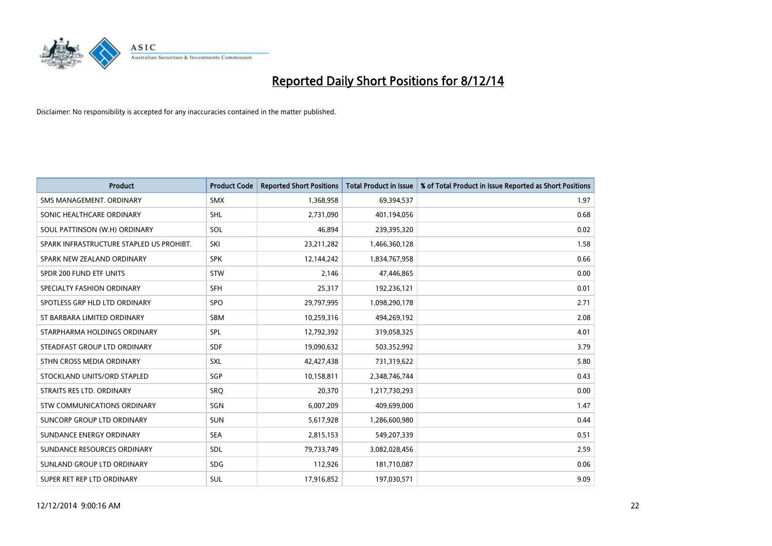

| <b>Product</b>                           | <b>Product Code</b> | <b>Reported Short Positions</b> | <b>Total Product in Issue</b> | % of Total Product in Issue Reported as Short Positions |
|------------------------------------------|---------------------|---------------------------------|-------------------------------|---------------------------------------------------------|
| SMS MANAGEMENT, ORDINARY                 | <b>SMX</b>          | 1,368,958                       | 69,394,537                    | 1.97                                                    |
| SONIC HEALTHCARE ORDINARY                | <b>SHL</b>          | 2,731,090                       | 401,194,056                   | 0.68                                                    |
| SOUL PATTINSON (W.H) ORDINARY            | SOL                 | 46,894                          | 239,395,320                   | 0.02                                                    |
| SPARK INFRASTRUCTURE STAPLED US PROHIBT. | SKI                 | 23,211,282                      | 1,466,360,128                 | 1.58                                                    |
| SPARK NEW ZEALAND ORDINARY               | <b>SPK</b>          | 12,144,242                      | 1,834,767,958                 | 0.66                                                    |
| SPDR 200 FUND ETF UNITS                  | STW                 | 2,146                           | 47,446,865                    | 0.00                                                    |
| SPECIALTY FASHION ORDINARY               | <b>SFH</b>          | 25,317                          | 192,236,121                   | 0.01                                                    |
| SPOTLESS GRP HLD LTD ORDINARY            | <b>SPO</b>          | 29,797,995                      | 1,098,290,178                 | 2.71                                                    |
| ST BARBARA LIMITED ORDINARY              | <b>SBM</b>          | 10,259,316                      | 494,269,192                   | 2.08                                                    |
| STARPHARMA HOLDINGS ORDINARY             | <b>SPL</b>          | 12,792,392                      | 319,058,325                   | 4.01                                                    |
| STEADFAST GROUP LTD ORDINARY             | <b>SDF</b>          | 19,090,632                      | 503,352,992                   | 3.79                                                    |
| STHN CROSS MEDIA ORDINARY                | <b>SXL</b>          | 42,427,438                      | 731,319,622                   | 5.80                                                    |
| STOCKLAND UNITS/ORD STAPLED              | <b>SGP</b>          | 10,158,811                      | 2,348,746,744                 | 0.43                                                    |
| STRAITS RES LTD. ORDINARY                | SRO                 | 20,370                          | 1,217,730,293                 | 0.00                                                    |
| STW COMMUNICATIONS ORDINARY              | SGN                 | 6,007,209                       | 409,699,000                   | 1.47                                                    |
| SUNCORP GROUP LTD ORDINARY               | <b>SUN</b>          | 5,617,928                       | 1,286,600,980                 | 0.44                                                    |
| SUNDANCE ENERGY ORDINARY                 | <b>SEA</b>          | 2,815,153                       | 549,207,339                   | 0.51                                                    |
| SUNDANCE RESOURCES ORDINARY              | <b>SDL</b>          | 79,733,749                      | 3,082,028,456                 | 2.59                                                    |
| SUNLAND GROUP LTD ORDINARY               | <b>SDG</b>          | 112,926                         | 181,710,087                   | 0.06                                                    |
| SUPER RET REP LTD ORDINARY               | <b>SUL</b>          | 17,916,852                      | 197,030,571                   | 9.09                                                    |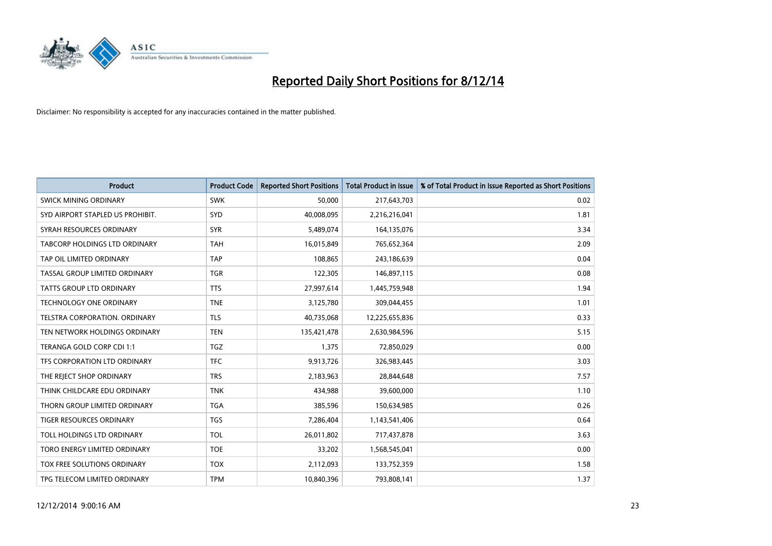

| <b>Product</b>                   | <b>Product Code</b> | <b>Reported Short Positions</b> | <b>Total Product in Issue</b> | % of Total Product in Issue Reported as Short Positions |
|----------------------------------|---------------------|---------------------------------|-------------------------------|---------------------------------------------------------|
| <b>SWICK MINING ORDINARY</b>     | <b>SWK</b>          | 50,000                          | 217,643,703                   | 0.02                                                    |
| SYD AIRPORT STAPLED US PROHIBIT. | <b>SYD</b>          | 40,008,095                      | 2,216,216,041                 | 1.81                                                    |
| SYRAH RESOURCES ORDINARY         | <b>SYR</b>          | 5,489,074                       | 164,135,076                   | 3.34                                                    |
| TABCORP HOLDINGS LTD ORDINARY    | <b>TAH</b>          | 16,015,849                      | 765,652,364                   | 2.09                                                    |
| TAP OIL LIMITED ORDINARY         | <b>TAP</b>          | 108,865                         | 243,186,639                   | 0.04                                                    |
| TASSAL GROUP LIMITED ORDINARY    | <b>TGR</b>          | 122,305                         | 146,897,115                   | 0.08                                                    |
| TATTS GROUP LTD ORDINARY         | <b>TTS</b>          | 27,997,614                      | 1,445,759,948                 | 1.94                                                    |
| TECHNOLOGY ONE ORDINARY          | <b>TNE</b>          | 3,125,780                       | 309,044,455                   | 1.01                                                    |
| TELSTRA CORPORATION, ORDINARY    | <b>TLS</b>          | 40,735,068                      | 12,225,655,836                | 0.33                                                    |
| TEN NETWORK HOLDINGS ORDINARY    | <b>TEN</b>          | 135,421,478                     | 2,630,984,596                 | 5.15                                                    |
| TERANGA GOLD CORP CDI 1:1        | TGZ                 | 1,375                           | 72,850,029                    | 0.00                                                    |
| TFS CORPORATION LTD ORDINARY     | <b>TFC</b>          | 9,913,726                       | 326,983,445                   | 3.03                                                    |
| THE REJECT SHOP ORDINARY         | <b>TRS</b>          | 2,183,963                       | 28,844,648                    | 7.57                                                    |
| THINK CHILDCARE EDU ORDINARY     | <b>TNK</b>          | 434,988                         | 39,600,000                    | 1.10                                                    |
| THORN GROUP LIMITED ORDINARY     | <b>TGA</b>          | 385,596                         | 150,634,985                   | 0.26                                                    |
| TIGER RESOURCES ORDINARY         | <b>TGS</b>          | 7,286,404                       | 1,143,541,406                 | 0.64                                                    |
| TOLL HOLDINGS LTD ORDINARY       | <b>TOL</b>          | 26,011,802                      | 717,437,878                   | 3.63                                                    |
| TORO ENERGY LIMITED ORDINARY     | <b>TOE</b>          | 33,202                          | 1,568,545,041                 | 0.00                                                    |
| TOX FREE SOLUTIONS ORDINARY      | <b>TOX</b>          | 2,112,093                       | 133,752,359                   | 1.58                                                    |
| TPG TELECOM LIMITED ORDINARY     | <b>TPM</b>          | 10,840,396                      | 793,808,141                   | 1.37                                                    |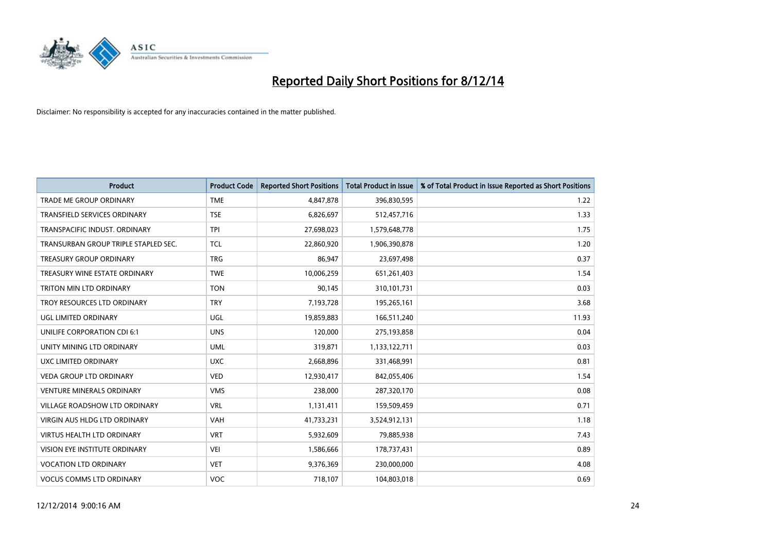

| <b>Product</b>                       | <b>Product Code</b> | <b>Reported Short Positions</b> | <b>Total Product in Issue</b> | % of Total Product in Issue Reported as Short Positions |
|--------------------------------------|---------------------|---------------------------------|-------------------------------|---------------------------------------------------------|
| <b>TRADE ME GROUP ORDINARY</b>       | <b>TME</b>          | 4,847,878                       | 396,830,595                   | 1.22                                                    |
| <b>TRANSFIELD SERVICES ORDINARY</b>  | <b>TSE</b>          | 6,826,697                       | 512,457,716                   | 1.33                                                    |
| TRANSPACIFIC INDUST, ORDINARY        | <b>TPI</b>          | 27,698,023                      | 1,579,648,778                 | 1.75                                                    |
| TRANSURBAN GROUP TRIPLE STAPLED SEC. | <b>TCL</b>          | 22,860,920                      | 1,906,390,878                 | 1.20                                                    |
| <b>TREASURY GROUP ORDINARY</b>       | <b>TRG</b>          | 86,947                          | 23,697,498                    | 0.37                                                    |
| TREASURY WINE ESTATE ORDINARY        | <b>TWE</b>          | 10,006,259                      | 651,261,403                   | 1.54                                                    |
| TRITON MIN LTD ORDINARY              | <b>TON</b>          | 90,145                          | 310,101,731                   | 0.03                                                    |
| TROY RESOURCES LTD ORDINARY          | <b>TRY</b>          | 7,193,728                       | 195,265,161                   | 3.68                                                    |
| UGL LIMITED ORDINARY                 | UGL                 | 19,859,883                      | 166,511,240                   | 11.93                                                   |
| UNILIFE CORPORATION CDI 6:1          | <b>UNS</b>          | 120,000                         | 275,193,858                   | 0.04                                                    |
| UNITY MINING LTD ORDINARY            | <b>UML</b>          | 319,871                         | 1,133,122,711                 | 0.03                                                    |
| UXC LIMITED ORDINARY                 | <b>UXC</b>          | 2,668,896                       | 331,468,991                   | 0.81                                                    |
| <b>VEDA GROUP LTD ORDINARY</b>       | <b>VED</b>          | 12,930,417                      | 842,055,406                   | 1.54                                                    |
| <b>VENTURE MINERALS ORDINARY</b>     | <b>VMS</b>          | 238,000                         | 287,320,170                   | 0.08                                                    |
| <b>VILLAGE ROADSHOW LTD ORDINARY</b> | <b>VRL</b>          | 1,131,411                       | 159,509,459                   | 0.71                                                    |
| <b>VIRGIN AUS HLDG LTD ORDINARY</b>  | <b>VAH</b>          | 41,733,231                      | 3,524,912,131                 | 1.18                                                    |
| VIRTUS HEALTH LTD ORDINARY           | <b>VRT</b>          | 5,932,609                       | 79,885,938                    | 7.43                                                    |
| VISION EYE INSTITUTE ORDINARY        | <b>VEI</b>          | 1,586,666                       | 178,737,431                   | 0.89                                                    |
| <b>VOCATION LTD ORDINARY</b>         | <b>VET</b>          | 9,376,369                       | 230,000,000                   | 4.08                                                    |
| <b>VOCUS COMMS LTD ORDINARY</b>      | <b>VOC</b>          | 718,107                         | 104,803,018                   | 0.69                                                    |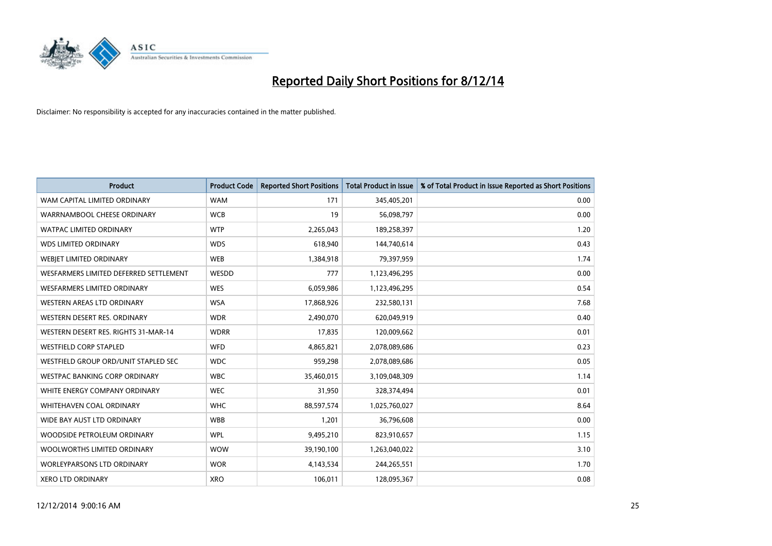

| <b>Product</b>                         | <b>Product Code</b> | <b>Reported Short Positions</b> | <b>Total Product in Issue</b> | % of Total Product in Issue Reported as Short Positions |
|----------------------------------------|---------------------|---------------------------------|-------------------------------|---------------------------------------------------------|
| WAM CAPITAL LIMITED ORDINARY           | <b>WAM</b>          | 171                             | 345,405,201                   | 0.00                                                    |
| WARRNAMBOOL CHEESE ORDINARY            | <b>WCB</b>          | 19                              | 56,098,797                    | 0.00                                                    |
| WATPAC LIMITED ORDINARY                | <b>WTP</b>          | 2,265,043                       | 189,258,397                   | 1.20                                                    |
| <b>WDS LIMITED ORDINARY</b>            | <b>WDS</b>          | 618,940                         | 144,740,614                   | 0.43                                                    |
| WEBIET LIMITED ORDINARY                | <b>WEB</b>          | 1,384,918                       | 79,397,959                    | 1.74                                                    |
| WESFARMERS LIMITED DEFERRED SETTLEMENT | WESDD               | 777                             | 1,123,496,295                 | 0.00                                                    |
| <b>WESFARMERS LIMITED ORDINARY</b>     | <b>WES</b>          | 6,059,986                       | 1,123,496,295                 | 0.54                                                    |
| WESTERN AREAS LTD ORDINARY             | <b>WSA</b>          | 17,868,926                      | 232,580,131                   | 7.68                                                    |
| WESTERN DESERT RES. ORDINARY           | <b>WDR</b>          | 2,490,070                       | 620,049,919                   | 0.40                                                    |
| WESTERN DESERT RES. RIGHTS 31-MAR-14   | <b>WDRR</b>         | 17,835                          | 120,009,662                   | 0.01                                                    |
| WESTFIELD CORP STAPLED                 | WFD                 | 4,865,821                       | 2,078,089,686                 | 0.23                                                    |
| WESTFIELD GROUP ORD/UNIT STAPLED SEC   | <b>WDC</b>          | 959,298                         | 2,078,089,686                 | 0.05                                                    |
| WESTPAC BANKING CORP ORDINARY          | <b>WBC</b>          | 35,460,015                      | 3,109,048,309                 | 1.14                                                    |
| WHITE ENERGY COMPANY ORDINARY          | <b>WEC</b>          | 31,950                          | 328,374,494                   | 0.01                                                    |
| WHITEHAVEN COAL ORDINARY               | <b>WHC</b>          | 88,597,574                      | 1,025,760,027                 | 8.64                                                    |
| WIDE BAY AUST LTD ORDINARY             | <b>WBB</b>          | 1,201                           | 36,796,608                    | 0.00                                                    |
| WOODSIDE PETROLEUM ORDINARY            | <b>WPL</b>          | 9,495,210                       | 823,910,657                   | 1.15                                                    |
| WOOLWORTHS LIMITED ORDINARY            | <b>WOW</b>          | 39,190,100                      | 1,263,040,022                 | 3.10                                                    |
| <b>WORLEYPARSONS LTD ORDINARY</b>      | <b>WOR</b>          | 4,143,534                       | 244,265,551                   | 1.70                                                    |
| <b>XERO LTD ORDINARY</b>               | <b>XRO</b>          | 106,011                         | 128,095,367                   | 0.08                                                    |